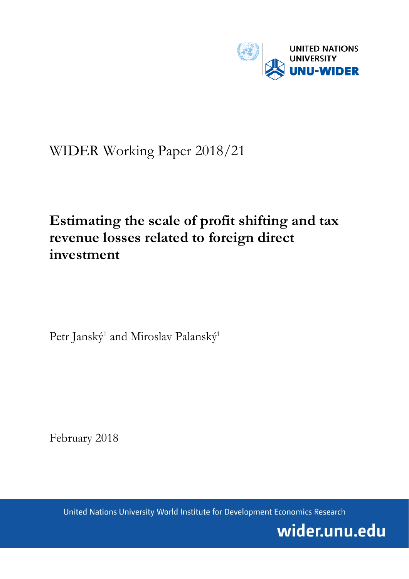

# WIDER Working Paper 2018/21

## **Estimating the scale of profit shifting and tax revenue losses related to foreign direct investment**

Petr Janský<sup>1</sup> and Miroslav Palanský<sup>1</sup>

February 2018

United Nations University World Institute for Development Economics Research

wider.unu.edu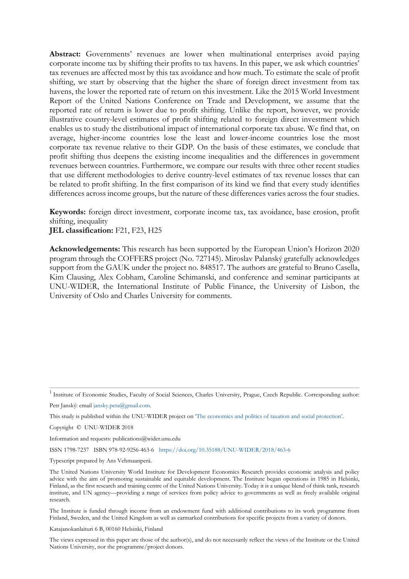**Abstract:** Governments' revenues are lower when multinational enterprises avoid paying corporate income tax by shifting their profits to tax havens. In this paper, we ask which countries' tax revenues are affected most by this tax avoidance and how much. To estimate the scale of profit shifting, we start by observing that the higher the share of foreign direct investment from tax havens, the lower the reported rate of return on this investment. Like the 2015 World Investment Report of the United Nations Conference on Trade and Development, we assume that the reported rate of return is lower due to profit shifting. Unlike the report, however, we provide illustrative country-level estimates of profit shifting related to foreign direct investment which enables us to study the distributional impact of international corporate tax abuse. We find that, on average, higher-income countries lose the least and lower-income countries lose the most corporate tax revenue relative to their GDP. On the basis of these estimates, we conclude that profit shifting thus deepens the existing income inequalities and the differences in government revenues between countries. Furthermore, we compare our results with three other recent studies that use different methodologies to derive country-level estimates of tax revenue losses that can be related to profit shifting. In the first comparison of its kind we find that every study identifies differences across income groups, but the nature of these differences varies across the four studies.

**Keywords:** foreign direct investment, corporate income tax, tax avoidance, base erosion, profit shifting, inequality

**JEL classification:** F21, F23, H25

**Acknowledgements:** This research has been supported by the European Union's Horizon 2020 program through the COFFERS project (No. 727145). Miroslav Palanský gratefully acknowledges support from the GAUK under the project no. 848517. The authors are grateful to Bruno Casella, Kim Clausing, Alex Cobham, Caroline Schimanski, and conference and seminar participants at UNU-WIDER, the International Institute of Public Finance, the University of Lisbon, the University of Oslo and Charles University for comments.

Petr Janský: email [jansky.peta@gmail.com.](mailto:jansky.peta@gmail.com)

This study is published within the UNU-WIDER project on 'The economics and [politics of taxation and social protection'.](https://www.wider.unu.edu/node/367) 

Copyright © UNU-WIDER 2018

Information and requests: publications@wider.unu.edu

ISSN 1798-7237 ISBN 978-92-9256-463-6 <https://doi.org/10.35188/UNU-WIDER/2018/463-6>

Typescript prepared by Ans Vehmaanperä.

The United Nations University World Institute for Development Economics Research provides economic analysis and policy advice with the aim of promoting sustainable and equitable development. The Institute began operations in 1985 in Helsinki, Finland, as the first research and training centre of the United Nations University. Today it is a unique blend of think tank, research institute, and UN agency—providing a range of services from policy advice to governments as well as freely available original research.

The Institute is funded through income from an endowment fund with additional contributions to its work programme from Finland, Sweden, and the United Kingdom as well as earmarked contributions for specific projects from a variety of donors.

Katajanokanlaituri 6 B, 00160 Helsinki, Finland

The views expressed in this paper are those of the author(s), and do not necessarily reflect the views of the Institute or the United Nations University, nor the programme/project donors.

<sup>&</sup>lt;sup>1</sup> Institute of Economic Studies, Faculty of Social Sciences, Charles University, Prague, Czech Republic. Corresponding author: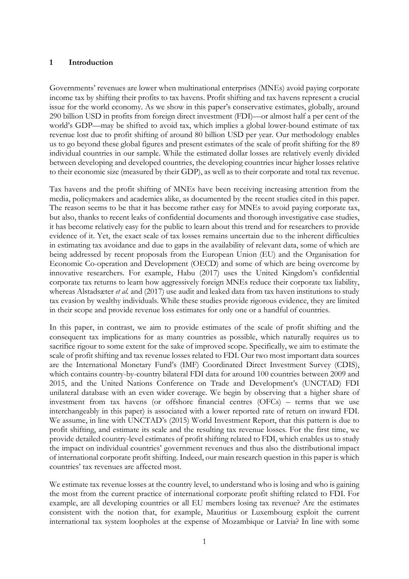### **1 Introduction**

Governments' revenues are lower when multinational enterprises (MNEs) avoid paying corporate income tax by shifting their profits to tax havens. Profit shifting and tax havens represent a crucial issue for the world economy. As we show in this paper's conservative estimates, globally, around 290 billion USD in profits from foreign direct investment (FDI)—or almost half a per cent of the world's GDP—may be shifted to avoid tax, which implies a global lower-bound estimate of tax revenue lost due to profit shifting of around 80 billion USD per year. Our methodology enables us to go beyond these global figures and present estimates of the scale of profit shifting for the 89 individual countries in our sample. While the estimated dollar losses are relatively evenly divided between developing and developed countries, the developing countries incur higher losses relative to their economic size (measured by their GDP), as well as to their corporate and total tax revenue.

Tax havens and the profit shifting of MNEs have been receiving increasing attention from the media, policymakers and academics alike, as documented by the recent studies cited in this paper. The reason seems to be that it has become rather easy for MNEs to avoid paying corporate tax, but also, thanks to recent leaks of confidential documents and thorough investigative case studies, it has become relatively easy for the public to learn about this trend and for researchers to provide evidence of it. Yet, the exact scale of tax losses remains uncertain due to the inherent difficulties in estimating tax avoidance and due to gaps in the availability of relevant data, some of which are being addressed by recent proposals from the European Union (EU) and the Organisation for Economic Co-operation and Development (OECD) and some of which are being overcome by innovative researchers. For example, Habu (2017) uses the United Kingdom's confidential corporate tax returns to learn how aggressively foreign MNEs reduce their corporate tax liability, whereas Alstadsæter *et al.* and (2017) use audit and leaked data from tax haven institutions to study tax evasion by wealthy individuals. While these studies provide rigorous evidence, they are limited in their scope and provide revenue loss estimates for only one or a handful of countries.

In this paper, in contrast, we aim to provide estimates of the scale of profit shifting and the consequent tax implications for as many countries as possible, which naturally requires us to sacrifice rigour to some extent for the sake of improved scope. Specifically, we aim to estimate the scale of profit shifting and tax revenue losses related to FDI. Our two most important data sources are the International Monetary Fund's (IMF) Coordinated Direct Investment Survey (CDIS), which contains country-by-country bilateral FDI data for around 100 countries between 2009 and 2015, and the United Nations Conference on Trade and Development's (UNCTAD) FDI unilateral database with an even wider coverage. We begin by observing that a higher share of investment from tax havens (or offshore financial centres (OFCs) – terms that we use interchangeably in this paper) is associated with a lower reported rate of return on inward FDI. We assume, in line with UNCTAD's (2015) World Investment Report, that this pattern is due to profit shifting, and estimate its scale and the resulting tax revenue losses. For the first time, we provide detailed country-level estimates of profit shifting related to FDI, which enables us to study the impact on individual countries' government revenues and thus also the distributional impact of international corporate profit shifting. Indeed, our main research question in this paper is which countries' tax revenues are affected most.

We estimate tax revenue losses at the country level, to understand who is losing and who is gaining the most from the current practice of international corporate profit shifting related to FDI. For example, are all developing countries or all EU members losing tax revenue? Are the estimates consistent with the notion that, for example, Mauritius or Luxembourg exploit the current international tax system loopholes at the expense of Mozambique or Latvia? In line with some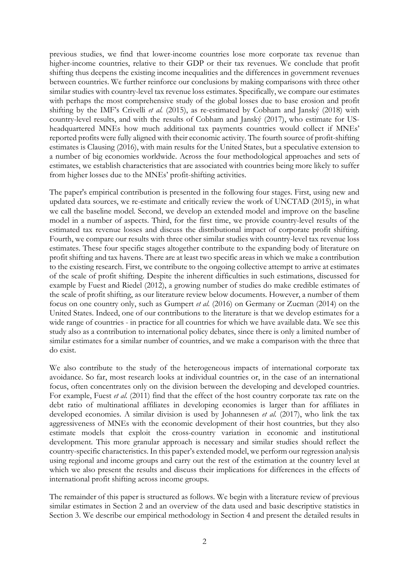previous studies, we find that lower-income countries lose more corporate tax revenue than higher-income countries, relative to their GDP or their tax revenues. We conclude that profit shifting thus deepens the existing income inequalities and the differences in government revenues between countries. We further reinforce our conclusions by making comparisons with three other similar studies with country-level tax revenue loss estimates. Specifically, we compare our estimates with perhaps the most comprehensive study of the global losses due to base erosion and profit shifting by the IMF's Crivelli *et al.* (2015), as re-estimated by Cobham and Janský (2018) with country-level results, and with the results of Cobham and Janský (2017), who estimate for USheadquartered MNEs how much additional tax payments countries would collect if MNEs' reported profits were fully aligned with their economic activity. The fourth source of profit-shifting estimates is Clausing (2016), with main results for the United States, but a speculative extension to a number of big economies worldwide. Across the four methodological approaches and sets of estimates, we establish characteristics that are associated with countries being more likely to suffer from higher losses due to the MNEs' profit-shifting activities.

The paper's empirical contribution is presented in the following four stages. First, using new and updated data sources, we re-estimate and critically review the work of UNCTAD (2015), in what we call the baseline model. Second, we develop an extended model and improve on the baseline model in a number of aspects. Third, for the first time, we provide country-level results of the estimated tax revenue losses and discuss the distributional impact of corporate profit shifting. Fourth, we compare our results with three other similar studies with country-level tax revenue loss estimates. These four specific stages altogether contribute to the expanding body of literature on profit shifting and tax havens. There are at least two specific areas in which we make a contribution to the existing research. First, we contribute to the ongoing collective attempt to arrive at estimates of the scale of profit shifting. Despite the inherent difficulties in such estimations, discussed for example by Fuest and Riedel (2012), a growing number of studies do make credible estimates of the scale of profit shifting, as our literature review below documents. However, a number of them focus on one country only, such as Gumpert *et al.* (2016) on Germany or Zucman (2014) on the United States. Indeed, one of our contributions to the literature is that we develop estimates for a wide range of countries - in practice for all countries for which we have available data. We see this study also as a contribution to international policy debates, since there is only a limited number of similar estimates for a similar number of countries, and we make a comparison with the three that do exist.

We also contribute to the study of the heterogeneous impacts of international corporate tax avoidance. So far, most research looks at individual countries or, in the case of an international focus, often concentrates only on the division between the developing and developed countries. For example, Fuest *et al.* (2011) find that the effect of the host country corporate tax rate on the debt ratio of multinational affiliates in developing economies is larger than for affiliates in developed economies. A similar division is used by Johannesen *et al.* (2017), who link the tax aggressiveness of MNEs with the economic development of their host countries, but they also estimate models that exploit the cross-country variation in economic and institutional development. This more granular approach is necessary and similar studies should reflect the country-specific characteristics. In this paper's extended model, we perform our regression analysis using regional and income groups and carry out the rest of the estimation at the country level at which we also present the results and discuss their implications for differences in the effects of international profit shifting across income groups.

The remainder of this paper is structured as follows. We begin with a literature review of previous similar estimates in Section 2 and an overview of the data used and basic descriptive statistics in Section 3. We describe our empirical methodology in Section 4 and present the detailed results in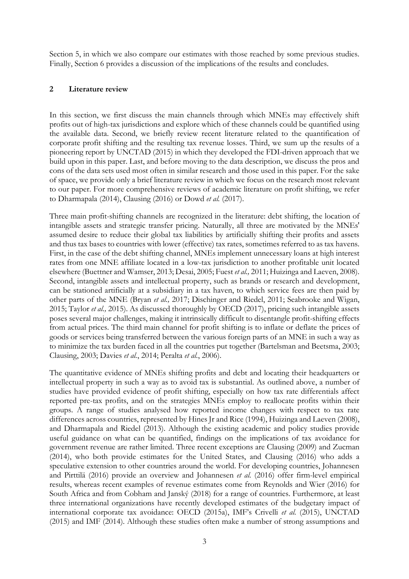Section 5, in which we also compare our estimates with those reached by some previous studies. Finally, Section 6 provides a discussion of the implications of the results and concludes.

## **2 Literature review**

In this section, we first discuss the main channels through which MNEs may effectively shift profits out of high-tax jurisdictions and explore which of these channels could be quantified using the available data. Second, we briefly review recent literature related to the quantification of corporate profit shifting and the resulting tax revenue losses. Third, we sum up the results of a pioneering report by UNCTAD (2015) in which they developed the FDI-driven approach that we build upon in this paper. Last, and before moving to the data description, we discuss the pros and cons of the data sets used most often in similar research and those used in this paper. For the sake of space, we provide only a brief literature review in which we focus on the research most relevant to our paper. For more comprehensive reviews of academic literature on profit shifting, we refer to Dharmapala (2014), Clausing (2016) or Dowd *et al.* (2017).

Three main profit-shifting channels are recognized in the literature: debt shifting, the location of intangible assets and strategic transfer pricing. Naturally, all three are motivated by the MNEs' assumed desire to reduce their global tax liabilities by artificially shifting their profits and assets and thus tax bases to countries with lower (effective) tax rates, sometimes referred to as tax havens. First, in the case of the debt shifting channel, MNEs implement unnecessary loans at high interest rates from one MNE affiliate located in a low-tax jurisdiction to another profitable unit located elsewhere (Buettner and Wamser, 2013; Desai, 2005; Fuest *et al.,* 2011; Huizinga and Laeven, 2008). Second, intangible assets and intellectual property, such as brands or research and development, can be stationed artificially at a subsidiary in a tax haven, to which service fees are then paid by other parts of the MNE (Bryan *et al.,* 2017; Dischinger and Riedel, 2011; Seabrooke and Wigan, 2015; Taylor *et al.,* 2015). As discussed thoroughly by OECD (2017), pricing such intangible assets poses several major challenges, making it intrinsically difficult to disentangle profit-shifting effects from actual prices. The third main channel for profit shifting is to inflate or deflate the prices of goods or services being transferred between the various foreign parts of an MNE in such a way as to minimize the tax burden faced in all the countries put together (Bartelsman and Beetsma, 2003; Clausing, 2003; Davies *et al.*, 2014; Peralta *et al.*, 2006).

The quantitative evidence of MNEs shifting profits and debt and locating their headquarters or intellectual property in such a way as to avoid tax is substantial. As outlined above, a number of studies have provided evidence of profit shifting, especially on how tax rate differentials affect reported pre-tax profits, and on the strategies MNEs employ to reallocate profits within their groups. A range of studies analysed how reported income changes with respect to tax rate differences across countries, represented by Hines Jr and Rice (1994), Huizinga and Laeven (2008), and Dharmapala and Riedel (2013). Although the existing academic and policy studies provide useful guidance on what can be quantified, findings on the implications of tax avoidance for government revenue are rather limited. Three recent exceptions are Clausing (2009) and Zucman (2014), who both provide estimates for the United States, and Clausing (2016) who adds a speculative extension to other countries around the world. For developing countries, Johannesen and Pirttilä (2016) provide an overview and Johannesen *et al.* (2016) offer firm-level empirical results, whereas recent examples of revenue estimates come from Reynolds and Wier (2016) for South Africa and from Cobham and Janský (2018) for a range of countries. Furthermore, at least three international organizations have recently developed estimates of the budgetary impact of international corporate tax avoidance: OECD (2015a), IMF's Crivelli *et al.* (2015), UNCTAD (2015) and IMF (2014). Although these studies often make a number of strong assumptions and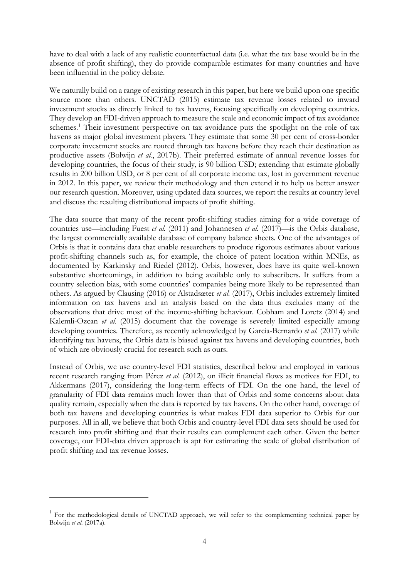have to deal with a lack of any realistic counterfactual data (i.e. what the tax base would be in the absence of profit shifting), they do provide comparable estimates for many countries and have been influential in the policy debate.

We naturally build on a range of existing research in this paper, but here we build upon one specific source more than others. UNCTAD (2015) estimate tax revenue losses related to inward investment stocks as directly linked to tax havens, focusing specifically on developing countries. They develop an FDI-driven approach to measure the scale and economic impact of tax avoidance schemes.<sup>[1](#page-5-0)</sup> Their investment perspective on tax avoidance puts the spotlight on the role of tax havens as major global investment players. They estimate that some 30 per cent of cross-border corporate investment stocks are routed through tax havens before they reach their destination as productive assets (Bolwijn *et al.*, 2017b). Their preferred estimate of annual revenue losses for developing countries, the focus of their study, is 90 billion USD; extending that estimate globally results in 200 billion USD, or 8 per cent of all corporate income tax, lost in government revenue in 2012. In this paper, we review their methodology and then extend it to help us better answer our research question. Moreover, using updated data sources, we report the results at country level and discuss the resulting distributional impacts of profit shifting.

The data source that many of the recent profit-shifting studies aiming for a wide coverage of countries use—including Fuest *et al.* (2011) and Johannesen *et al.* (2017)—is the Orbis database, the largest commercially available database of company balance sheets. One of the advantages of Orbis is that it contains data that enable researchers to produce rigorous estimates about various profit-shifting channels such as, for example, the choice of patent location within MNEs, as documented by Karkinsky and Riedel (2012). Orbis, however, does have its quite well-known substantive shortcomings, in addition to being available only to subscribers. It suffers from a country selection bias, with some countries' companies being more likely to be represented than others. As argued by Clausing (2016) or Alstadsæter *et al.* (2017), Orbis includes extremely limited information on tax havens and an analysis based on the data thus excludes many of the observations that drive most of the income-shifting behaviour. Cobham and Loretz (2014) and Kalemli-Ozcan *et al.* (2015) document that the coverage is severely limited especially among developing countries. Therefore, as recently acknowledged by Garcia-Bernardo *et al.* (2017) while identifying tax havens, the Orbis data is biased against tax havens and developing countries, both of which are obviously crucial for research such as ours.

Instead of Orbis, we use country-level FDI statistics, described below and employed in various recent research ranging from Pérez *et al.* (2012), on illicit financial flows as motives for FDI, to Akkermans (2017), considering the long-term effects of FDI. On the one hand, the level of granularity of FDI data remains much lower than that of Orbis and some concerns about data quality remain, especially when the data is reported by tax havens. On the other hand, coverage of both tax havens and developing countries is what makes FDI data superior to Orbis for our purposes. All in all, we believe that both Orbis and country-level FDI data sets should be used for research into profit shifting and that their results can complement each other. Given the better coverage, our FDI-data driven approach is apt for estimating the scale of global distribution of profit shifting and tax revenue losses.

<u>.</u>

<span id="page-5-0"></span><sup>&</sup>lt;sup>1</sup> For the methodological details of UNCTAD approach, we will refer to the complementing technical paper by Bolwijn *et al.* (2017a).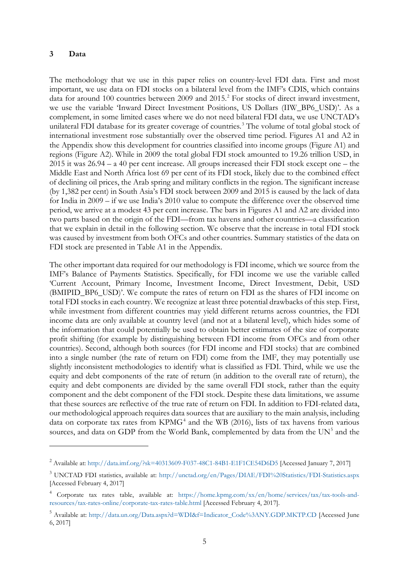#### **3 Data**

-

The methodology that we use in this paper relies on country-level FDI data. First and most important, we use data on FDI stocks on a bilateral level from the IMF's CDIS, which contains data for around 100 countries between [2](#page-6-0)009 and 2015.<sup>2</sup> For stocks of direct inward investment, we use the variable 'Inward Direct Investment Positions, US Dollars (IIW\_BP6\_USD)'. As a complement, in some limited cases where we do not need bilateral FDI data, we use UNCTAD's unilateral FDI database for its greater coverage of countries.<sup>[3](#page-6-1)</sup> The volume of total global stock of international investment rose substantially over the observed time period. Figures A1 and A2 in the Appendix show this development for countries classified into income groups (Figure A1) and regions (Figure A2). While in 2009 the total global FDI stock amounted to 19.26 trillion USD, in 2015 it was 26.94 – a 40 per cent increase. All groups increased their FDI stock except one – the Middle East and North Africa lost 69 per cent of its FDI stock, likely due to the combined effect of declining oil prices, the Arab spring and military conflicts in the region. The significant increase (by 1,382 per cent) in South Asia's FDI stock between 2009 and 2015 is caused by the lack of data for India in 2009 – if we use India's 2010 value to compute the difference over the observed time period, we arrive at a modest 43 per cent increase. The bars in Figures A1 and A2 are divided into two parts based on the origin of the FDI—from tax havens and other countries—a classification that we explain in detail in the following section. We observe that the increase in total FDI stock was caused by investment from both OFCs and other countries. Summary statistics of the data on FDI stock are presented in Table A1 in the Appendix.

The other important data required for our methodology is FDI income, which we source from the IMF's Balance of Payments Statistics. Specifically, for FDI income we use the variable called 'Current Account, Primary Income, Investment Income, Direct Investment, Debit, USD (BMIPID\_BP6\_USD)'. We compute the rates of return on FDI as the shares of FDI income on total FDI stocks in each country. We recognize at least three potential drawbacks of this step. First, while investment from different countries may yield different returns across countries, the FDI income data are only available at country level (and not at a bilateral level), which hides some of the information that could potentially be used to obtain better estimates of the size of corporate profit shifting (for example by distinguishing between FDI income from OFCs and from other countries). Second, although both sources (for FDI income and FDI stocks) that are combined into a single number (the rate of return on FDI) come from the IMF, they may potentially use slightly inconsistent methodologies to identify what is classified as FDI. Third, while we use the equity and debt components of the rate of return (in addition to the overall rate of return), the equity and debt components are divided by the same overall FDI stock, rather than the equity component and the debt component of the FDI stock. Despite these data limitations, we assume that these sources are reflective of the true rate of return on FDI. In addition to FDI-related data, our methodological approach requires data sources that are auxiliary to the main analysis, including data on corporate tax rates from  $KPMG<sup>4</sup>$  $KPMG<sup>4</sup>$  $KPMG<sup>4</sup>$  and the WB (2016), lists of tax havens from various sources, and data on GDP from the World Bank, complemented by data from the  $UN<sup>5</sup>$  $UN<sup>5</sup>$  $UN<sup>5</sup>$  and the

<span id="page-6-0"></span><sup>2</sup> Available at: http://data.imf.org/?sk=40313609-F037-48C1-84B1-E1F1CE54D6D5 [Accessed January 7, 2017]

<span id="page-6-1"></span><sup>3</sup> UNCTAD FDI statistics, available at: http://unctad.org/en/Pages/DIAE/FDI%20Statistics/FDI-Statistics.aspx [Accessed February 4, 2017]

<span id="page-6-2"></span><sup>4</sup> Corporate tax rates table, available at: https://home.kpmg.com/xx/en/home/services/tax/tax-tools-andresources/tax-rates-online/corporate-tax-rates-table.html [Accessed February 4, 2017].

<span id="page-6-3"></span><sup>&</sup>lt;sup>5</sup> Available at: http://data.un.org/Data.aspx?d=WDI&f=Indicator\_Code%3ANY.GDP.MKTP.CD [Accessed June 6, 2017]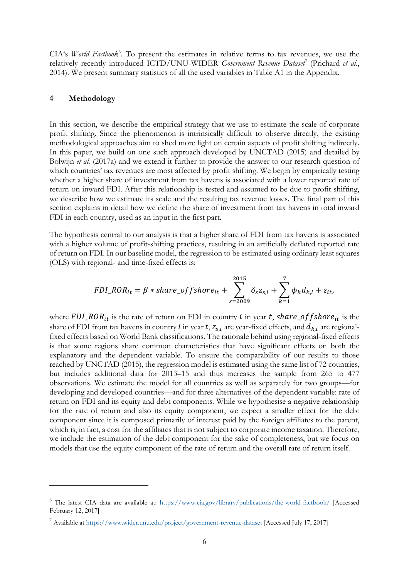CIA's *World Factbook*<sup>[6](#page-7-0)</sup>. To present the estimates in relative terms to tax revenues, we use the relatively recently introduced ICTD/UNU-WIDER *Government Revenue Dataset<sup>[7](#page-7-1)</sup>* (Prichard et al., 2014). We present summary statistics of all the used variables in Table A1 in the Appendix.

#### **4 Methodology**

<u>.</u>

In this section, we describe the empirical strategy that we use to estimate the scale of corporate profit shifting. Since the phenomenon is intrinsically difficult to observe directly, the existing methodological approaches aim to shed more light on certain aspects of profit shifting indirectly. In this paper, we build on one such approach developed by UNCTAD (2015) and detailed by Bolwijn *et al.* (2017a) and we extend it further to provide the answer to our research question of which countries' tax revenues are most affected by profit shifting. We begin by empirically testing whether a higher share of investment from tax havens is associated with a lower reported rate of return on inward FDI. After this relationship is tested and assumed to be due to profit shifting, we describe how we estimate its scale and the resulting tax revenue losses. The final part of this section explains in detail how we define the share of investment from tax havens in total inward FDI in each country, used as an input in the first part.

The hypothesis central to our analysis is that a higher share of FDI from tax havens is associated with a higher volume of profit-shifting practices, resulting in an artificially deflated reported rate of return on FDI. In our baseline model, the regression to be estimated using ordinary least squares (OLS) with regional- and time-fixed effects is:

$$
FDI\_ROR_{it} = \beta * share\_offshore_{it} + \sum_{s=2009}^{2015} \delta_s z_{s,i} + \sum_{k=1}^{7} \phi_k d_{k,i} + \varepsilon_{it},
$$

where  $FDI\_ROR_{it}$  is the rate of return on FDI in country *i* in year *t*, share\_off shore<sub>it</sub> is the share of FDI from tax havens in country *i* in year  $t$ ,  $z_{s,i}$  are year-fixed effects, and  $d_{k,i}$  are regionalfixed effects based on World Bank classifications. The rationale behind using regional-fixed effects is that some regions share common characteristics that have significant effects on both the explanatory and the dependent variable. To ensure the comparability of our results to those reached by UNCTAD (2015), the regression model is estimated using the same list of 72 countries, but includes additional data for 2013–15 and thus increases the sample from 265 to 477 observations. We estimate the model for all countries as well as separately for two groups—for developing and developed countries—and for three alternatives of the dependent variable: rate of return on FDI and its equity and debt components. While we hypothesise a negative relationship for the rate of return and also its equity component, we expect a smaller effect for the debt component since it is composed primarily of interest paid by the foreign affiliates to the parent, which is, in fact, a cost for the affiliates that is not subject to corporate income taxation. Therefore, we include the estimation of the debt component for the sake of completeness, but we focus on models that use the equity component of the rate of return and the overall rate of return itself.

<span id="page-7-0"></span><sup>6</sup> The latest CIA data are available at: https://www.cia.gov/library/publications/the-world-factbook/ [Accessed February 12, 2017]

<span id="page-7-1"></span><sup>7</sup> Available at https://www.wider.unu.edu/project/government-revenue-dataset [Accessed July 17, 2017]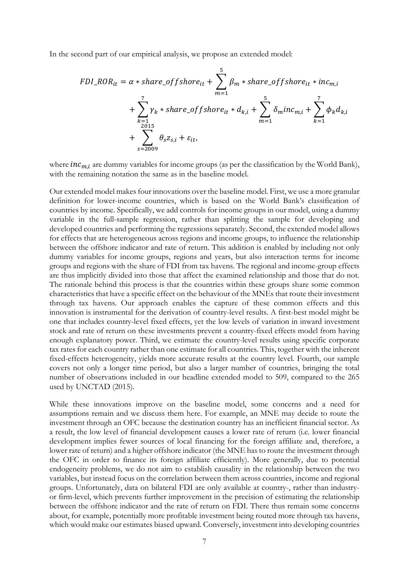In the second part of our empirical analysis, we propose an extended model:

$$
FDI\_ROR_{it} = \alpha * share\_offset|shere_{it} + \sum_{m=1}^{5} \beta_m * share\_offset|shere_{it} * inc_{m,i}
$$
  
+ 
$$
\sum_{k=1}^{7} \gamma_k * share\_offset|shere_{it} * d_{k,i} + \sum_{m=1}^{5} \delta_m inc_{m,i} + \sum_{k=1}^{7} \phi_k d_{k,i}
$$
  
+ 
$$
\sum_{s=2009}^{2015} \theta_s z_{s,i} + \varepsilon_{it},
$$

where  $inc_{m,i}$  are dummy variables for income groups (as per the classification by the World Bank), with the remaining notation the same as in the baseline model.

Our extended model makes four innovations over the baseline model. First, we use a more granular definition for lower-income countries, which is based on the World Bank's classification of countries by income. Specifically, we add controls for income groups in our model, using a dummy variable in the full-sample regression, rather than splitting the sample for developing and developed countries and performing the regressions separately. Second, the extended model allows for effects that are heterogeneous across regions and income groups, to influence the relationship between the offshore indicator and rate of return. This addition is enabled by including not only dummy variables for income groups, regions and years, but also interaction terms for income groups and regions with the share of FDI from tax havens. The regional and income-group effects are thus implicitly divided into those that affect the examined relationship and those that do not. The rationale behind this process is that the countries within these groups share some common characteristics that have a specific effect on the behaviour of the MNEs that route their investment through tax havens. Our approach enables the capture of these common effects and this innovation is instrumental for the derivation of country-level results. A first-best model might be one that includes country-level fixed effects, yet the low levels of variation in inward investment stock and rate of return on these investments prevent a country-fixed effects model from having enough explanatory power. Third, we estimate the country-level results using specific corporate tax rates for each country rather than one estimate for all countries. This, together with the inherent fixed-effects heterogeneity, yields more accurate results at the country level. Fourth, our sample covers not only a longer time period, but also a larger number of countries, bringing the total number of observations included in our headline extended model to 509, compared to the 265 used by UNCTAD (2015).

While these innovations improve on the baseline model, some concerns and a need for assumptions remain and we discuss them here. For example, an MNE may decide to route the investment through an OFC because the destination country has an inefficient financial sector. As a result, the low level of financial development causes a lower rate of return (i.e. lower financial development implies fewer sources of local financing for the foreign affiliate and, therefore, a lower rate of return) and a higher offshore indicator (the MNE has to route the investment through the OFC in order to finance its foreign affiliate efficiently). More generally, due to potential endogeneity problems, we do not aim to establish causality in the relationship between the two variables, but instead focus on the correlation between them across countries, income and regional groups. Unfortunately, data on bilateral FDI are only available at country-, rather than industryor firm-level, which prevents further improvement in the precision of estimating the relationship between the offshore indicator and the rate of return on FDI. There thus remain some concerns about, for example, potentially more profitable investment being routed more through tax havens, which would make our estimates biased upward. Conversely, investment into developing countries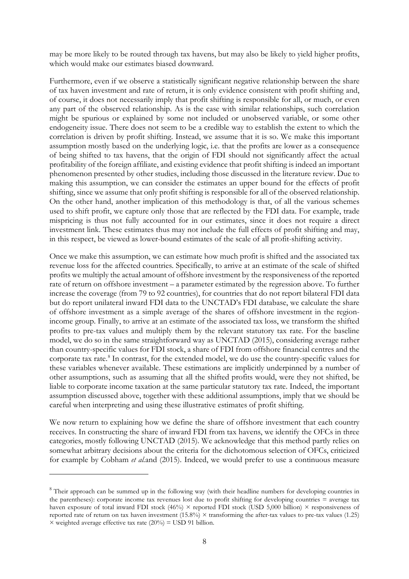may be more likely to be routed through tax havens, but may also be likely to yield higher profits, which would make our estimates biased downward.

Furthermore, even if we observe a statistically significant negative relationship between the share of tax haven investment and rate of return, it is only evidence consistent with profit shifting and, of course, it does not necessarily imply that profit shifting is responsible for all, or much, or even any part of the observed relationship. As is the case with similar relationships, such correlation might be spurious or explained by some not included or unobserved variable, or some other endogeneity issue. There does not seem to be a credible way to establish the extent to which the correlation is driven by profit shifting. Instead, we assume that it is so. We make this important assumption mostly based on the underlying logic, i.e. that the profits are lower as a consequence of being shifted to tax havens, that the origin of FDI should not significantly affect the actual profitability of the foreign affiliate, and existing evidence that profit shifting is indeed an important phenomenon presented by other studies, including those discussed in the literature review. Due to making this assumption, we can consider the estimates an upper bound for the effects of profit shifting, since we assume that only profit shifting is responsible for all of the observed relationship. On the other hand, another implication of this methodology is that, of all the various schemes used to shift profit, we capture only those that are reflected by the FDI data. For example, trade mispricing is thus not fully accounted for in our estimates, since it does not require a direct investment link. These estimates thus may not include the full effects of profit shifting and may, in this respect, be viewed as lower-bound estimates of the scale of all profit-shifting activity.

Once we make this assumption, we can estimate how much profit is shifted and the associated tax revenue loss for the affected countries. Specifically, to arrive at an estimate of the scale of shifted profits we multiply the actual amount of offshore investment by the responsiveness of the reported rate of return on offshore investment – a parameter estimated by the regression above. To further increase the coverage (from 79 to 92 countries), for countries that do not report bilateral FDI data but do report unilateral inward FDI data to the UNCTAD's FDI database, we calculate the share of offshore investment as a simple average of the shares of offshore investment in the regionincome group. Finally, to arrive at an estimate of the associated tax loss, we transform the shifted profits to pre-tax values and multiply them by the relevant statutory tax rate. For the baseline model, we do so in the same straightforward way as UNCTAD (2015), considering average rather than country-specific values for FDI stock, a share of FDI from offshore financial centres and the corporate tax rate.<sup>[8](#page-9-0)</sup> In contrast, for the extended model, we do use the country-specific values for these variables whenever available. These estimations are implicitly underpinned by a number of other assumptions, such as assuming that all the shifted profits would, were they not shifted, be liable to corporate income taxation at the same particular statutory tax rate. Indeed, the important assumption discussed above, together with these additional assumptions, imply that we should be careful when interpreting and using these illustrative estimates of profit shifting.

We now return to explaining how we define the share of offshore investment that each country receives. In constructing the share of inward FDI from tax havens, we identify the OFCs in three categories, mostly following UNCTAD (2015). We acknowledge that this method partly relies on somewhat arbitrary decisions about the criteria for the dichotomous selection of OFCs, criticized for example by Cobham *et al.*and (2015). Indeed, we would prefer to use a continuous measure

-

<span id="page-9-0"></span><sup>&</sup>lt;sup>8</sup> Their approach can be summed up in the following way (with their headline numbers for developing countries in the parentheses): corporate income tax revenues lost due to profit shifting for developing countries = average tax haven exposure of total inward FDI stock (46%)  $\times$  reported FDI stock (USD 5,000 billion)  $\times$  responsiveness of reported rate of return on tax haven investment  $(15.8\%) \times$  transforming the after-tax values to pre-tax values  $(1.25)$  $\times$  weighted average effective tax rate (20%) = USD 91 billion.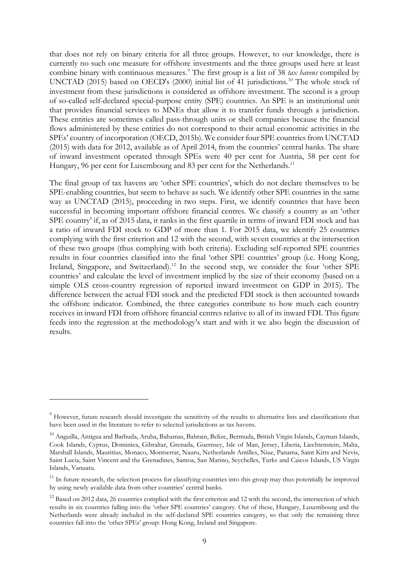that does not rely on binary criteria for all three groups. However, to our knowledge, there is currently no such one measure for offshore investments and the three groups used here at least combine binary with continuous measures.[9](#page-10-0) The first group is a list of 38 *tax havens* compiled by UNCTAD (2015) based on OECD's (2000) initial list of 41 jurisdictions.<sup>[10](#page-10-1)</sup> The whole stock of investment from these jurisdictions is considered as offshore investment. The second is a group of so-called self-declared special-purpose entity (SPE) countries. An SPE is an institutional unit that provides financial services to MNEs that allow it to transfer funds through a jurisdiction. These entities are sometimes called pass-through units or shell companies because the financial flows administered by these entities do not correspond to their actual economic activities in the SPEs' country of incorporation (OECD, 2015b). We consider four SPE countries from UNCTAD (2015) with data for 2012, available as of April 2014, from the countries' central banks. The share of inward investment operated through SPEs were 40 per cent for Austria, 58 per cent for Hungary, 96 per cent for Luxembourg and 83 per cent for the Netherlands.<sup>[11](#page-10-2)</sup>

The final group of tax havens are 'other SPE countries', which do not declare themselves to be SPE-enabling countries, but seem to behave as such. We identify other SPE countries in the same way as UNCTAD (2015), proceeding in two steps. First, we identify countries that have been successful in becoming important offshore financial centres. We classify a country as an 'other SPE country' if, as of 2015 data, it ranks in the first quartile in terms of inward FDI stock and has a ratio of inward FDI stock to GDP of more than 1. For 2015 data, we identify 25 countries complying with the first criterion and 12 with the second, with seven countries at the intersection of these two groups (thus complying with both criteria). Excluding self-reported SPE countries results in four countries classified into the final 'other SPE countries' group (i.e. Hong Kong, Ireland, Singapore, and Switzerland).<sup>[12](#page-10-3)</sup> In the second step, we consider the four 'other SPE countries' and calculate the level of investment implied by the size of their economy (based on a simple OLS cross-country regression of reported inward investment on GDP in 2015). The difference between the actual FDI stock and the predicted FDI stock is then accounted towards the offshore indicator. Combined, the three categories contribute to how much each country receives in inward FDI from offshore financial centres relative to all of its inward FDI. This figure feeds into the regression at the methodology's start and with it we also begin the discussion of results.

-

<span id="page-10-0"></span><sup>&</sup>lt;sup>9</sup> However, future research should investigate the sensitivity of the results to alternative lists and classifications that have been used in the literature to refer to selected jurisdictions as tax havens.

<span id="page-10-1"></span><sup>10</sup> Anguilla, Antigua and Barbuda, Aruba, Bahamas, Bahrain, Belize, Bermuda, British Virgin Islands, Cayman Islands, Cook Islands, Cyprus, Dominica, Gibraltar, Grenada, Guernsey, Isle of Man, Jersey, Liberia, Liechtenstein, Malta, Marshall Islands, Mauritius, Monaco, Montserrat, Nauru, Netherlands Antilles, Niue, Panama, Saint Kitts and Nevis, Saint Lucia, Saint Vincent and the Grenadines, Samoa, San Marino, Seychelles, Turks and Caicos Islands, US Virgin Islands, Vanuatu.

<span id="page-10-2"></span> $11$  In future research, the selection process for classifying countries into this group may thus potentially be improved by using newly available data from other countries' central banks.

<span id="page-10-3"></span><sup>&</sup>lt;sup>12</sup> Based on 2012 data, 26 countries complied with the first criterion and 12 with the second, the intersection of which results in six countries falling into the 'other SPE countries' category. Out of these, Hungary, Luxembourg and the Netherlands were already included in the self-declared SPE countries category, so that only the remaining three countries fall into the 'other SPEs' group: Hong Kong, Ireland and Singapore.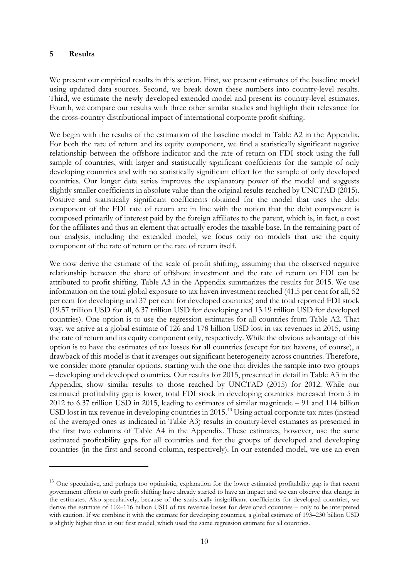#### **5 Results**

<u>.</u>

We present our empirical results in this section. First, we present estimates of the baseline model using updated data sources. Second, we break down these numbers into country-level results. Third, we estimate the newly developed extended model and present its country-level estimates. Fourth, we compare our results with three other similar studies and highlight their relevance for the cross-country distributional impact of international corporate profit shifting.

We begin with the results of the estimation of the baseline model in Table A2 in the Appendix. For both the rate of return and its equity component, we find a statistically significant negative relationship between the offshore indicator and the rate of return on FDI stock using the full sample of countries, with larger and statistically significant coefficients for the sample of only developing countries and with no statistically significant effect for the sample of only developed countries. Our longer data series improves the explanatory power of the model and suggests slightly smaller coefficients in absolute value than the original results reached by UNCTAD (2015). Positive and statistically significant coefficients obtained for the model that uses the debt component of the FDI rate of return are in line with the notion that the debt component is composed primarily of interest paid by the foreign affiliates to the parent, which is, in fact, a cost for the affiliates and thus an element that actually erodes the taxable base. In the remaining part of our analysis, including the extended model, we focus only on models that use the equity component of the rate of return or the rate of return itself.

We now derive the estimate of the scale of profit shifting, assuming that the observed negative relationship between the share of offshore investment and the rate of return on FDI can be attributed to profit shifting. Table A3 in the Appendix summarizes the results for 2015. We use information on the total global exposure to tax haven investment reached (41.5 per cent for all, 52 per cent for developing and 37 per cent for developed countries) and the total reported FDI stock (19.57 trillion USD for all, 6.37 trillion USD for developing and 13.19 trillion USD for developed countries). One option is to use the regression estimates for all countries from Table A2. That way, we arrive at a global estimate of 126 and 178 billion USD lost in tax revenues in 2015, using the rate of return and its equity component only, respectively. While the obvious advantage of this option is to have the estimates of tax losses for all countries (except for tax havens, of course), a drawback of this model is that it averages out significant heterogeneity across countries. Therefore, we consider more granular options, starting with the one that divides the sample into two groups – developing and developed countries. Our results for 2015, presented in detail in Table A3 in the Appendix, show similar results to those reached by UNCTAD (2015) for 2012. While our estimated profitability gap is lower, total FDI stock in developing countries increased from 5 in 2012 to 6.37 trillion USD in 2015, leading to estimates of similar magnitude – 91 and 114 billion USD lost in tax revenue in developing countries in 2015.<sup>[13](#page-11-0)</sup> Using actual corporate tax rates (instead of the averaged ones as indicated in Table A3) results in country-level estimates as presented in the first two columns of Table A4 in the Appendix. These estimates, however, use the same estimated profitability gaps for all countries and for the groups of developed and developing countries (in the first and second column, respectively). In our extended model, we use an even

<span id="page-11-0"></span><sup>&</sup>lt;sup>13</sup> One speculative, and perhaps too optimistic, explanation for the lower estimated profitability gap is that recent government efforts to curb profit shifting have already started to have an impact and we can observe that change in the estimates. Also speculatively, because of the statistically insignificant coefficients for developed countries, we derive the estimate of 102–116 billion USD of tax revenue losses for developed countries – only to be interpreted with caution. If we combine it with the estimate for developing countries, a global estimate of 193–230 billion USD is slightly higher than in our first model, which used the same regression estimate for all countries.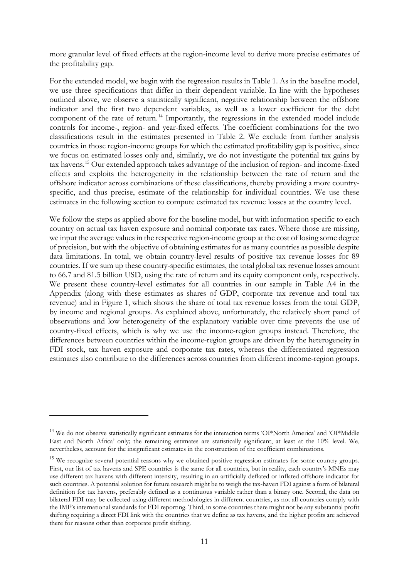more granular level of fixed effects at the region-income level to derive more precise estimates of the profitability gap.

For the extended model, we begin with the regression results in Table 1. As in the baseline model, we use three specifications that differ in their dependent variable. In line with the hypotheses outlined above, we observe a statistically significant, negative relationship between the offshore indicator and the first two dependent variables, as well as a lower coefficient for the debt component of the rate of return.<sup>[14](#page-12-0)</sup> Importantly, the regressions in the extended model include controls for income-, region- and year-fixed effects. The coefficient combinations for the two classifications result in the estimates presented in Table 2. We exclude from further analysis countries in those region-income groups for which the estimated profitability gap is positive, since we focus on estimated losses only and, similarly, we do not investigate the potential tax gains by tax havens.[15](#page-12-1) Our extended approach takes advantage of the inclusion of region- and income-fixed effects and exploits the heterogeneity in the relationship between the rate of return and the offshore indicator across combinations of these classifications, thereby providing a more countryspecific, and thus precise, estimate of the relationship for individual countries. We use these estimates in the following section to compute estimated tax revenue losses at the country level.

We follow the steps as applied above for the baseline model, but with information specific to each country on actual tax haven exposure and nominal corporate tax rates. Where those are missing, we input the average values in the respective region-income group at the cost of losing some degree of precision, but with the objective of obtaining estimates for as many countries as possible despite data limitations. In total, we obtain country-level results of positive tax revenue losses for 89 countries. If we sum up these country-specific estimates, the total global tax revenue losses amount to 66.7 and 81.5 billion USD, using the rate of return and its equity component only, respectively. We present these country-level estimates for all countries in our sample in Table A4 in the Appendix (along with these estimates as shares of GDP, corporate tax revenue and total tax revenue) and in Figure 1, which shows the share of total tax revenue losses from the total GDP, by income and regional groups. As explained above, unfortunately, the relatively short panel of observations and low heterogeneity of the explanatory variable over time prevents the use of country-fixed effects, which is why we use the income-region groups instead. Therefore, the differences between countries within the income-region groups are driven by the heterogeneity in FDI stock, tax haven exposure and corporate tax rates, whereas the differentiated regression estimates also contribute to the differences across countries from different income-region groups.

<u>.</u>

<span id="page-12-0"></span><sup>&</sup>lt;sup>14</sup> We do not observe statistically significant estimates for the interaction terms 'OI\*North America' and 'OI\*Middle East and North Africa' only; the remaining estimates are statistically significant, at least at the 10% level. We, nevertheless, account for the insignificant estimates in the construction of the coefficient combinations.

<span id="page-12-1"></span><sup>&</sup>lt;sup>15</sup> We recognize several potential reasons why we obtained positive regression estimates for some country groups. First, our list of tax havens and SPE countries is the same for all countries, but in reality, each country's MNEs may use different tax havens with different intensity, resulting in an artificially deflated or inflated offshore indicator for such countries. A potential solution for future research might be to weigh the tax-haven FDI against a form of bilateral definition for tax havens, preferably defined as a continuous variable rather than a binary one. Second, the data on bilateral FDI may be collected using different methodologies in different countries, as not all countries comply with the IMF's international standards for FDI reporting. Third, in some countries there might not be any substantial profit shifting requiring a direct FDI link with the countries that we define as tax havens, and the higher profits are achieved there for reasons other than corporate profit shifting.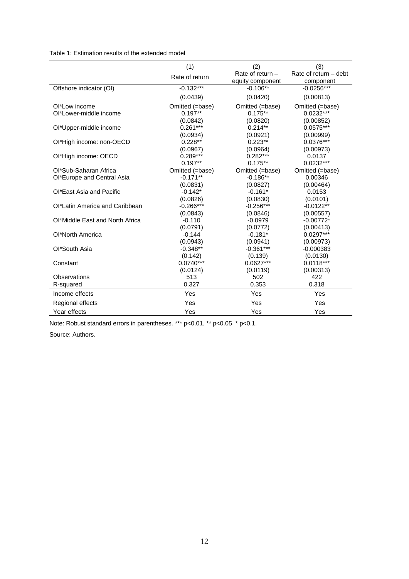Table 1: Estimation results of the extended model

|                                 | (1)             | (2)                | (3)                     |
|---------------------------------|-----------------|--------------------|-------------------------|
|                                 | Rate of return  | Rate of return $-$ | Rate of return $-$ debt |
|                                 |                 | equity component   | component               |
| Offshore indicator (OI)         | $-0.132***$     | $-0.106**$         | $-0.0256***$            |
|                                 | (0.0439)        | (0.0420)           | (0.00813)               |
| Ol*Low income                   | Omitted (=base) | Omitted (=base)    | Omitted (=base)         |
| OI*Lower-middle income          | $0.197**$       | $0.175**$          | $0.0232***$             |
|                                 | (0.0842)        | (0.0820)           | (0.00852)               |
| Ol*Upper-middle income          | $0.261***$      | $0.214**$          | $0.0575***$             |
|                                 | (0.0934)        | (0.0921)           | (0.00999)               |
| Ol*High income: non-OECD        | $0.228**$       | $0.223**$          | 0.0376***               |
|                                 | (0.0967)        | (0.0964)           | (0.00973)               |
| Ol*High income: OECD            | $0.289***$      | $0.282***$         | 0.0137                  |
|                                 | $0.197**$       | $0.175**$          | $0.0232***$             |
| Ol*Sub-Saharan Africa           | Omitted (=base) | Omitted (=base)    | Omitted (=base)         |
| Ol*Europe and Central Asia      | $-0.171**$      | $-0.186**$         | 0.00346                 |
|                                 | (0.0831)        | (0.0827)           | (0.00464)               |
| OI*East Asia and Pacific        | $-0.142*$       | $-0.161*$          | 0.0153                  |
|                                 | (0.0826)        | (0.0830)           | (0.0101)                |
| Ol*Latin America and Caribbean  | $-0.266***$     | $-0.256***$        | $-0.0122**$             |
|                                 | (0.0843)        | (0.0846)           | (0.00557)               |
| Ol*Middle East and North Africa | $-0.110$        | $-0.0979$          | $-0.00772*$             |
|                                 | (0.0791)        | (0.0772)           | (0.00413)               |
| Ol*North America                | $-0.144$        | $-0.181*$          | $0.0297***$             |
|                                 | (0.0943)        | (0.0941)           | (0.00973)               |
| Ol*South Asia                   | $-0.348**$      | $-0.361***$        | $-0.000383$             |
|                                 | (0.142)         | (0.139)            | (0.0130)                |
| Constant                        | $0.0740***$     | $0.0627***$        | $0.0118***$             |
|                                 | (0.0124)        | (0.0119)           | (0.00313)               |
| Observations                    | 513             | 502                | 422                     |
| R-squared                       | 0.327           | 0.353              | 0.318                   |
| Income effects                  | Yes             | Yes                | Yes                     |
| Regional effects                | Yes             | Yes                | Yes                     |
| Year effects                    | Yes             | Yes                | Yes                     |

Note: Robust standard errors in parentheses. \*\*\* p<0.01, \*\* p<0.05, \* p<0.1.

Source: Authors.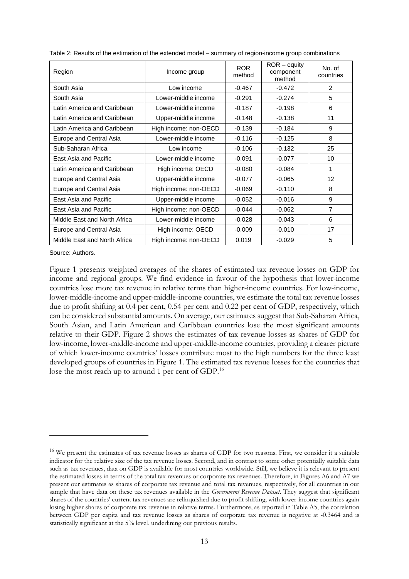| Region                       | Income group          | <b>ROR</b><br>method | $ROR - equity$<br>component<br>method | No. of<br>countries |
|------------------------------|-----------------------|----------------------|---------------------------------------|---------------------|
| South Asia                   | Low income            | $-0.467$             | $-0.472$                              | $\mathcal{P}$       |
| South Asia                   | Lower-middle income   | $-0.291$             | $-0.274$                              | 5                   |
| Latin America and Caribbean  | Lower-middle income   | $-0.187$             | $-0.198$                              | 6                   |
| Latin America and Caribbean  | Upper-middle income   | $-0.148$             | $-0.138$                              | 11                  |
| Latin America and Caribbean  | High income: non-OECD | $-0.139$             | $-0.184$                              | 9                   |
| Europe and Central Asia      | Lower-middle income   | $-0.116$             | $-0.125$                              | 8                   |
| Sub-Saharan Africa           | Low income            | $-0.106$             | $-0.132$                              | 25                  |
| East Asia and Pacific        | Lower-middle income   | $-0.091$             | $-0.077$                              | 10                  |
| Latin America and Caribbean  | High income: OECD     | $-0.080$             | $-0.084$                              | 1                   |
| Europe and Central Asia      | Upper-middle income   | $-0.077$             | $-0.065$                              | $12 \overline{ }$   |
| Europe and Central Asia      | High income: non-OECD | $-0.069$             | $-0.110$                              | 8                   |
| East Asia and Pacific        | Upper-middle income   | $-0.052$             | $-0.016$                              | 9                   |
| East Asia and Pacific        | High income: non-OECD | $-0.044$             | $-0.062$                              | $\overline{7}$      |
| Middle East and North Africa | Lower-middle income   | $-0.028$             | $-0.043$                              | 6                   |
| Europe and Central Asia      | High income: OECD     | $-0.009$             | $-0.010$                              | 17                  |
| Middle East and North Africa | High income: non-OECD | 0.019                | $-0.029$                              | 5                   |

Table 2: Results of the estimation of the extended model – summary of region-income group combinations

Source: Authors.

-

Figure 1 presents weighted averages of the shares of estimated tax revenue losses on GDP for income and regional groups. We find evidence in favour of the hypothesis that lower-income countries lose more tax revenue in relative terms than higher-income countries. For low-income, lower-middle-income and upper-middle-income countries, we estimate the total tax revenue losses due to profit shifting at 0.4 per cent, 0.54 per cent and 0.22 per cent of GDP, respectively, which can be considered substantial amounts. On average, our estimates suggest that Sub-Saharan Africa, South Asian, and Latin American and Caribbean countries lose the most significant amounts relative to their GDP. Figure 2 shows the estimates of tax revenue losses as shares of GDP for low-income, lower-middle-income and upper-middle-income countries, providing a clearer picture of which lower-income countries' losses contribute most to the high numbers for the three least developed groups of countries in Figure 1. The estimated tax revenue losses for the countries that lose the most reach up to around 1 per cent of GDP.<sup>[16](#page-14-0)</sup>

<span id="page-14-0"></span><sup>&</sup>lt;sup>16</sup> We present the estimates of tax revenue losses as shares of GDP for two reasons. First, we consider it a suitable indicator for the relative size of the tax revenue losses. Second, and in contrast to some other potentially suitable data such as tax revenues, data on GDP is available for most countries worldwide. Still, we believe it is relevant to present the estimated losses in terms of the total tax revenues or corporate tax revenues. Therefore, in Figures A6 and A7 we present our estimates as shares of corporate tax revenue and total tax revenues, respectively, for all countries in our sample that have data on these tax revenues available in the *Government Revenue Dataset*. They suggest that significant shares of the countries' current tax revenues are relinquished due to profit shifting, with lower-income countries again losing higher shares of corporate tax revenue in relative terms. Furthermore, as reported in Table A5, the correlation between GDP per capita and tax revenue losses as shares of corporate tax revenue is negative at -0.3464 and is statistically significant at the 5% level, underlining our previous results.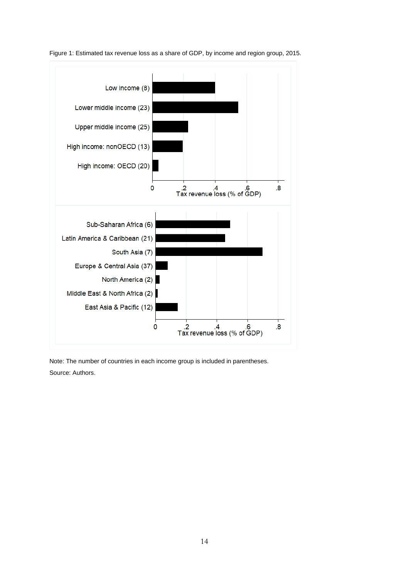

Figure 1: Estimated tax revenue loss as a share of GDP, by income and region group, 2015.

Note: The number of countries in each income group is included in parentheses. Source: Authors.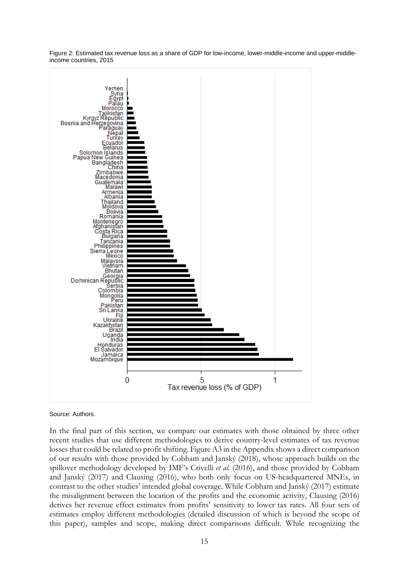Figure 2: Estimated tax revenue loss as a share of GDP for low-income, lower-middle-income and upper-middleincome countries, 2015



Source: Authors.

In the final part of this section, we compare our estimates with those obtained by three other recent studies that use different methodologies to derive country-level estimates of tax revenue losses that could be related to profit shifting. Figure A3 in the Appendix shows a direct comparison of our results with those provided by Cobham and Janský (2018), whose approach builds on the spillover methodology developed by IMF's Crivelli *et al.* (2016), and those provided by Cobham and Janský (2017) and Clausing (2016), who both only focus on US-headquartered MNEs, in contrast to the other studies' intended global coverage. While Cobham and Janský (2017) estimate the misalignment between the location of the profits and the economic activity, Clausing (2016) derives her revenue effect estimates from profits' sensitivity to lower tax rates. All four sets of estimates employ different methodologies (detailed discussion of which is beyond the scope of this paper), samples and scope, making direct comparisons difficult. While recognizing the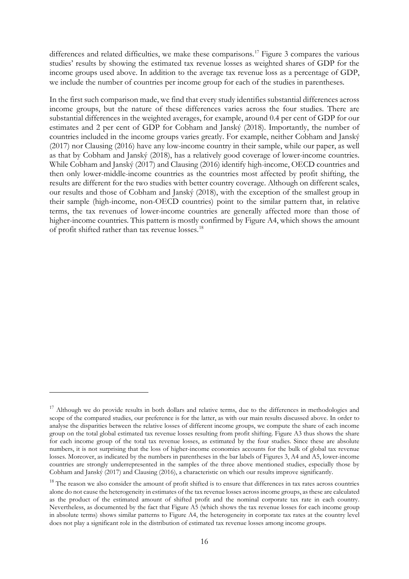differences and related difficulties, we make these comparisons.<sup>[17](#page-17-0)</sup> Figure 3 compares the various studies' results by showing the estimated tax revenue losses as weighted shares of GDP for the income groups used above. In addition to the average tax revenue loss as a percentage of GDP, we include the number of countries per income group for each of the studies in parentheses.

In the first such comparison made, we find that every study identifies substantial differences across income groups, but the nature of these differences varies across the four studies. There are substantial differences in the weighted averages, for example, around 0.4 per cent of GDP for our estimates and 2 per cent of GDP for Cobham and Janský (2018). Importantly, the number of countries included in the income groups varies greatly. For example, neither Cobham and Janský (2017) nor Clausing (2016) have any low-income country in their sample, while our paper, as well as that by Cobham and Janský (2018), has a relatively good coverage of lower-income countries. While Cobham and Janský (2017) and Clausing (2016) identify high-income, OECD countries and then only lower-middle-income countries as the countries most affected by profit shifting, the results are different for the two studies with better country coverage. Although on different scales, our results and those of Cobham and Janský (2018), with the exception of the smallest group in their sample (high-income, non-OECD countries) point to the similar pattern that, in relative terms, the tax revenues of lower-income countries are generally affected more than those of higher-income countries. This pattern is mostly confirmed by Figure A4, which shows the amount of profit shifted rather than tax revenue losses.[18](#page-17-1)

<u>.</u>

<span id="page-17-0"></span><sup>&</sup>lt;sup>17</sup> Although we do provide results in both dollars and relative terms, due to the differences in methodologies and scope of the compared studies, our preference is for the latter, as with our main results discussed above. In order to analyse the disparities between the relative losses of different income groups, we compute the share of each income group on the total global estimated tax revenue losses resulting from profit shifting. Figure A3 thus shows the share for each income group of the total tax revenue losses, as estimated by the four studies. Since these are absolute numbers, it is not surprising that the loss of higher-income economies accounts for the bulk of global tax revenue losses. Moreover, as indicated by the numbers in parentheses in the bar labels of Figures 3, A4 and A5, lower-income countries are strongly underrepresented in the samples of the three above mentioned studies, especially those by Cobham and Janský (2017) and Clausing (2016), a characteristic on which our results improve significantly.

<span id="page-17-1"></span><sup>&</sup>lt;sup>18</sup> The reason we also consider the amount of profit shifted is to ensure that differences in tax rates across countries alone do not cause the heterogeneity in estimates of the tax revenue losses across income groups, as these are calculated as the product of the estimated amount of shifted profit and the nominal corporate tax rate in each country. Nevertheless, as documented by the fact that Figure A5 (which shows the tax revenue losses for each income group in absolute terms) shows similar patterns to Figure A4, the heterogeneity in corporate tax rates at the country level does not play a significant role in the distribution of estimated tax revenue losses among income groups.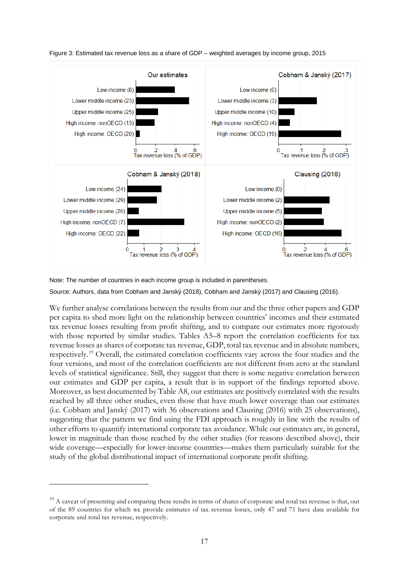

Figure 3: Estimated tax revenue loss as a share of GDP – weighted averages by income group, 2015

Note: The number of countries in each income group is included in parentheses.

-

Source: Authors, data from Cobham and Janský (2018), Cobham and Janský (2017) and Clausing (2016).

We further analyse correlations between the results from our and the three other papers and GDP per capita to shed more light on the relationship between countries' incomes and their estimated tax revenue losses resulting from profit shifting, and to compare our estimates more rigorously with those reported by similar studies. Tables A5–8 report the correlation coefficients for tax revenue losses as shares of corporate tax revenue, GDP, total tax revenue and in absolute numbers, respectively.[19](#page-18-0) Overall, the estimated correlation coefficients vary across the four studies and the four versions, and most of the correlation coefficients are not different from zero at the standard levels of statistical significance. Still, they suggest that there is some negative correlation between our estimates and GDP per capita, a result that is in support of the findings reported above. Moreover, as best documented by Table A8, our estimates are positively correlated with the results reached by all three other studies, even those that have much lower coverage than our estimates (i.e. Cobham and Janský (2017) with 36 observations and Clausing (2016) with 25 observations), suggesting that the pattern we find using the FDI approach is roughly in line with the results of other efforts to quantify international corporate tax avoidance. While our estimates are, in general, lower in magnitude than those reached by the other studies (for reasons described above), their wide coverage—especially for lower-income countries—makes them particularly suitable for the study of the global distributional impact of international corporate profit shifting.

<span id="page-18-0"></span> $19$  A caveat of presenting and comparing these results in terms of shares of corporate and total tax revenue is that, out of the 89 countries for which we provide estimates of tax revenue losses, only 47 and 71 have data available for corporate and total tax revenue, respectively.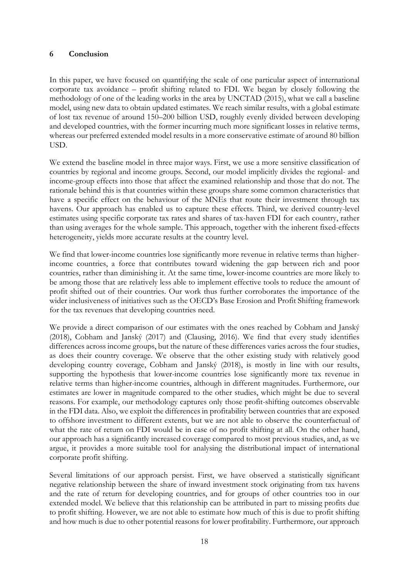### **6 Conclusion**

In this paper, we have focused on quantifying the scale of one particular aspect of international corporate tax avoidance – profit shifting related to FDI. We began by closely following the methodology of one of the leading works in the area by UNCTAD (2015), what we call a baseline model, using new data to obtain updated estimates. We reach similar results, with a global estimate of lost tax revenue of around 150–200 billion USD, roughly evenly divided between developing and developed countries, with the former incurring much more significant losses in relative terms, whereas our preferred extended model results in a more conservative estimate of around 80 billion USD.

We extend the baseline model in three major ways. First, we use a more sensitive classification of countries by regional and income groups. Second, our model implicitly divides the regional- and income-group effects into those that affect the examined relationship and those that do not. The rationale behind this is that countries within these groups share some common characteristics that have a specific effect on the behaviour of the MNEs that route their investment through tax havens. Our approach has enabled us to capture these effects. Third, we derived country-level estimates using specific corporate tax rates and shares of tax-haven FDI for each country, rather than using averages for the whole sample. This approach, together with the inherent fixed-effects heterogeneity, yields more accurate results at the country level.

We find that lower-income countries lose significantly more revenue in relative terms than higherincome countries, a force that contributes toward widening the gap between rich and poor countries, rather than diminishing it. At the same time, lower-income countries are more likely to be among those that are relatively less able to implement effective tools to reduce the amount of profit shifted out of their countries. Our work thus further corroborates the importance of the wider inclusiveness of initiatives such as the OECD's Base Erosion and Profit Shifting framework for the tax revenues that developing countries need.

We provide a direct comparison of our estimates with the ones reached by Cobham and Janský (2018), Cobham and Janský (2017) and (Clausing, 2016). We find that every study identifies differences across income groups, but the nature of these differences varies across the four studies, as does their country coverage. We observe that the other existing study with relatively good developing country coverage, Cobham and Janský (2018), is mostly in line with our results, supporting the hypothesis that lower-income countries lose significantly more tax revenue in relative terms than higher-income countries, although in different magnitudes. Furthermore, our estimates are lower in magnitude compared to the other studies, which might be due to several reasons. For example, our methodology captures only those profit-shifting outcomes observable in the FDI data. Also, we exploit the differences in profitability between countries that are exposed to offshore investment to different extents, but we are not able to observe the counterfactual of what the rate of return on FDI would be in case of no profit shifting at all. On the other hand, our approach has a significantly increased coverage compared to most previous studies, and, as we argue, it provides a more suitable tool for analysing the distributional impact of international corporate profit shifting.

Several limitations of our approach persist. First, we have observed a statistically significant negative relationship between the share of inward investment stock originating from tax havens and the rate of return for developing countries, and for groups of other countries too in our extended model. We believe that this relationship can be attributed in part to missing profits due to profit shifting. However, we are not able to estimate how much of this is due to profit shifting and how much is due to other potential reasons for lower profitability. Furthermore, our approach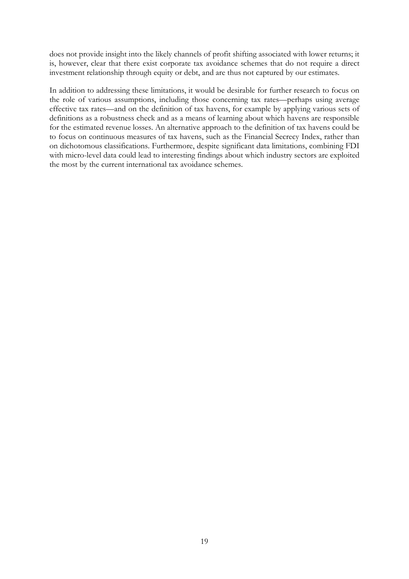does not provide insight into the likely channels of profit shifting associated with lower returns; it is, however, clear that there exist corporate tax avoidance schemes that do not require a direct investment relationship through equity or debt, and are thus not captured by our estimates.

In addition to addressing these limitations, it would be desirable for further research to focus on the role of various assumptions, including those concerning tax rates—perhaps using average effective tax rates—and on the definition of tax havens, for example by applying various sets of definitions as a robustness check and as a means of learning about which havens are responsible for the estimated revenue losses. An alternative approach to the definition of tax havens could be to focus on continuous measures of tax havens, such as the Financial Secrecy Index, rather than on dichotomous classifications. Furthermore, despite significant data limitations, combining FDI with micro-level data could lead to interesting findings about which industry sectors are exploited the most by the current international tax avoidance schemes.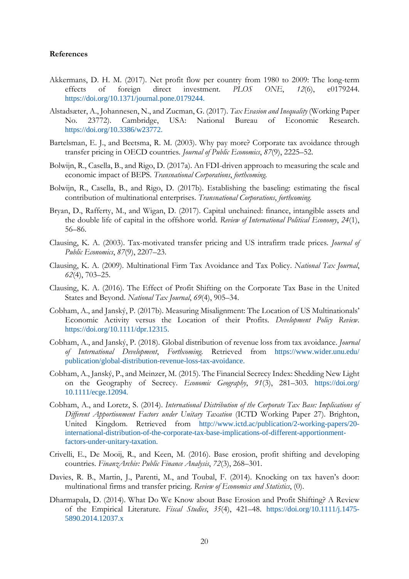#### **References**

- Akkermans, D. H. M. (2017). Net profit flow per country from 1980 to 2009: The long-term effects of foreign direct investment. *PLOS ONE*, *12*(6), e0179244. https://doi.org/10.1371/journal.pone.0179244.
- Alstadsæter, A., Johannesen, N., and Zucman, G. (2017). *Tax Evasion and Inequality* (Working Paper No. 23772). Cambridge, USA: National Bureau of Economic Research. https://doi.org/10.3386/w23772.
- Bartelsman, E. J., and Beetsma, R. M. (2003). Why pay more? Corporate tax avoidance through transfer pricing in OECD countries. *Journal of Public Economics*, *87*(9), 2225–52.
- Bolwijn, R., Casella, B., and Rigo, D. (2017a). An FDI-driven approach to measuring the scale and economic impact of BEPS. *Transnational Corporations*, *forthcoming*.
- Bolwijn, R., Casella, B., and Rigo, D. (2017b). Establishing the baseling: estimating the fiscal contribution of multinational enterprises. *Transnational Corporations*, *forthcoming*.
- Bryan, D., Rafferty, M., and Wigan, D. (2017). Capital unchained: finance, intangible assets and the double life of capital in the offshore world. *Review of International Political Economy*, *24*(1), 56–86.
- Clausing, K. A. (2003). Tax-motivated transfer pricing and US intrafirm trade prices. *Journal of Public Economics*, *87*(9), 2207–23.
- Clausing, K. A. (2009). Multinational Firm Tax Avoidance and Tax Policy. *National Tax Journal*, *62*(4), 703–25.
- Clausing, K. A. (2016). The Effect of Profit Shifting on the Corporate Tax Base in the United States and Beyond. *National Tax Journal*, *69*(4), 905–34.
- Cobham, A., and Janský, P. (2017b). Measuring Misalignment: The Location of US Multinationals' Economic Activity versus the Location of their Profits. *Development Policy Review*. https://doi.org/10.1111/dpr.12315.
- Cobham, A., and Janský, P. (2018). Global distribution of revenue loss from tax avoidance. *Journal of International Development*, *Forthcoming*. Retrieved from https://www.wider.unu.edu/ publication/global-distribution-revenue-loss-tax-avoidance.
- Cobham, A., Janský, P., and Meinzer, M. (2015). The Financial Secrecy Index: Shedding New Light on the Geography of Secrecy. *Economic Geography*, *91*(3), 281–303. https://doi.org/ 10.1111/ecge.12094.
- Cobham, A., and Loretz, S. (2014). *International Distribution of the Corporate Tax Base: Implications of Different Apportionment Factors under Unitary Taxation* (ICTD Working Paper 27). Brighton, United Kingdom. Retrieved from http://www.ictd.ac/publication/2-working-papers/20 international-distribution-of-the-corporate-tax-base-implications-of-different-apportionmentfactors-under-unitary-taxation.
- Crivelli, E., De Mooij, R., and Keen, M. (2016). Base erosion, profit shifting and developing countries. *FinanzArchiv: Public Finance Analysis*, *72*(3), 268–301.
- Davies, R. B., Martin, J., Parenti, M., and Toubal, F. (2014). Knocking on tax haven's door: multinational firms and transfer pricing. *Review of Economics and Statistics*, (0).
- Dharmapala, D. (2014). What Do We Know about Base Erosion and Profit Shifting? A Review of the Empirical Literature. *Fiscal Studies*, *35*(4), 421–48. https://doi.org/10.1111/j.1475- 5890.2014.12037.x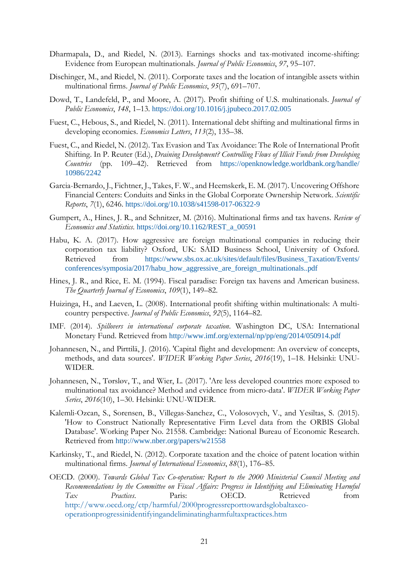- Dharmapala, D., and Riedel, N. (2013). Earnings shocks and tax-motivated income-shifting: Evidence from European multinationals. *Journal of Public Economics*, *97*, 95–107.
- Dischinger, M., and Riedel, N. (2011). Corporate taxes and the location of intangible assets within multinational firms. *Journal of Public Economics*, *95*(7), 691–707.
- Dowd, T., Landefeld, P., and Moore, A. (2017). Profit shifting of U.S. multinationals. *Journal of Public Economics*, *148*, 1–13. https://doi.org/10.1016/j.jpubeco.2017.02.005
- Fuest, C., Hebous, S., and Riedel, N. (2011). International debt shifting and multinational firms in developing economies. *Economics Letters*, *113*(2), 135–38.
- Fuest, C., and Riedel, N. (2012). Tax Evasion and Tax Avoidance: The Role of International Profit Shifting. In P. Reuter (Ed.), *Draining Development? Controlling Flows of Illicit Funds from Developing Countries* (pp. 109–42). Retrieved from https://openknowledge.worldbank.org/handle/ 10986/2242
- Garcia-Bernardo, J., Fichtner, J., Takes, F. W., and Heemskerk, E. M. (2017). Uncovering Offshore Financial Centers: Conduits and Sinks in the Global Corporate Ownership Network. *Scientific Reports*, *7*(1), 6246. https://doi.org/10.1038/s41598-017-06322-9
- Gumpert, A., Hines, J. R., and Schnitzer, M. (2016). Multinational firms and tax havens. *Review of Economics and Statistics*. https://doi.org/10.1162/REST\_a\_00591
- Habu, K. A. (2017). How aggressive are foreign multinational companies in reducing their corporation tax liability? Oxford, UK: SAID Business School, University of Oxford. Retrieved from https://www.sbs.ox.ac.uk/sites/default/files/Business\_Taxation/Events/ conferences/symposia/2017/habu\_how\_aggressive\_are\_foreign\_multinationals..pdf
- Hines, J. R., and Rice, E. M. (1994). Fiscal paradise: Foreign tax havens and American business. *The Quarterly Journal of Economics*, *109*(1), 149–82.
- Huizinga, H., and Laeven, L. (2008). International profit shifting within multinationals: A multicountry perspective. *Journal of Public Economics*, *92*(5), 1164–82.
- IMF. (2014). *Spillovers in international corporate taxation*. Washington DC, USA: International Monetary Fund. Retrieved from http://www.imf.org/external/np/pp/eng/2014/050914.pdf
- Johannesen, N., and Pirttilä, J. (2016). 'Capital flight and development: An overview of concepts, methods, and data sources'. *WIDER Working Paper Series*, *2016*(19), 1–18. Helsinki: UNU-WIDER.
- Johannesen, N., Tørsløv, T., and Wier, L. (2017). 'Are less developed countries more exposed to multinational tax avoidance? Method and evidence from micro-data'. *WIDER Working Paper Series*, *2016*(10), 1–30. Helsinki: UNU-WIDER.
- Kalemli-Ozcan, S., Sorensen, B., Villegas-Sanchez, C., Volosovych, V., and Yesiltas, S. (2015). 'How to Construct Nationally Representative Firm Level data from the ORBIS Global Database'. Working Paper No. 21558. Cambridge: National Bureau of Economic Research. Retrieved from http://www.nber.org/papers/w21558
- Karkinsky, T., and Riedel, N. (2012). Corporate taxation and the choice of patent location within multinational firms. *Journal of International Economics*, *88*(1), 176–85.
- OECD. (2000). *Towards Global Tax Co-operation: Report to the 2000 Ministerial Council Meeting and Recommendations by the Committee on Fiscal Affairs: Progress in Identifying and Eliminating Harmful Tax Practices*. Paris: OECD. Retrieved from http://www.oecd.org/ctp/harmful/2000progressreporttowardsglobaltaxcooperationprogressinidentifyingandeliminatingharmfultaxpractices.htm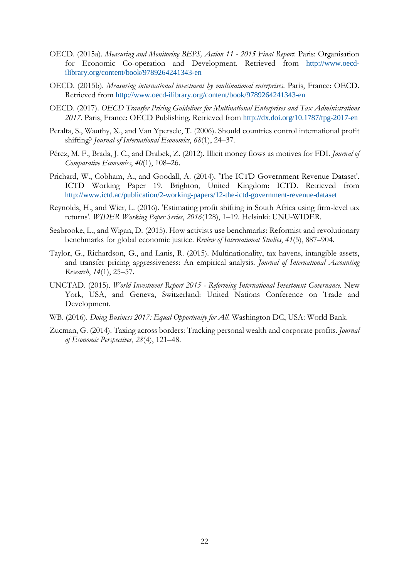- OECD. (2015a). *Measuring and Monitoring BEPS, Action 11 - 2015 Final Report*. Paris: Organisation for Economic Co-operation and Development. Retrieved from http://www.oecdilibrary.org/content/book/9789264241343-en
- OECD. (2015b). *Measuring international investment by multinational enterprises*. Paris, France: OECD. Retrieved from http://www.oecd-ilibrary.org/content/book/9789264241343-en
- OECD. (2017). *OECD Transfer Pricing Guidelines for Multinational Enterprises and Tax Administrations 2017*. Paris, France: OECD Publishing. Retrieved from http://dx.doi.org/10.1787/tpg-2017-en
- Peralta, S., Wauthy, X., and Van Ypersele, T. (2006). Should countries control international profit shifting? *Journal of International Economics*, *68*(1), 24–37.
- Pérez, M. F., Brada, J. C., and Drabek, Z. (2012). Illicit money flows as motives for FDI. *Journal of Comparative Economics*, *40*(1), 108–26.
- Prichard, W., Cobham, A., and Goodall, A. (2014). 'The ICTD Government Revenue Dataset'. ICTD Working Paper 19. Brighton, United Kingdom: ICTD. Retrieved from <http://www.ictd.ac/publication/2-working-papers/12-the-ictd-government-revenue-dataset>
- Reynolds, H., and Wier, L. (2016). 'Estimating profit shifting in South Africa using firm-level tax returns'. *WIDER Working Paper Series*, *2016*(128), 1–19. Helsinki: UNU-WIDER.
- Seabrooke, L., and Wigan, D. (2015). How activists use benchmarks: Reformist and revolutionary benchmarks for global economic justice. *Review of International Studies*, *41*(5), 887–904.
- Taylor, G., Richardson, G., and Lanis, R. (2015). Multinationality, tax havens, intangible assets, and transfer pricing aggressiveness: An empirical analysis. *Journal of International Accounting Research*, *14*(1), 25–57.
- UNCTAD. (2015). *World Investment Report 2015 - Reforming International Investment Governance*. New York, USA, and Geneva, Switzerland: United Nations Conference on Trade and Development.
- WB. (2016). *Doing Business 2017: Equal Opportunity for All*. Washington DC, USA: World Bank.
- Zucman, G. (2014). Taxing across borders: Tracking personal wealth and corporate profits. *Journal of Economic Perspectives*, *28*(4), 121–48.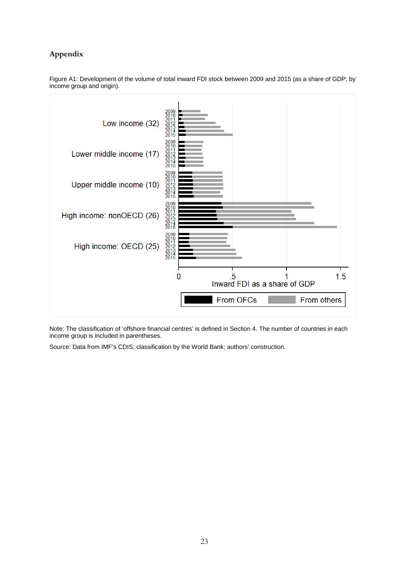## **Appendix**



Figure A1: Development of the volume of total inward FDI stock between 2009 and 2015 (as a share of GDP; by income group and origin).

Note: The classification of 'offshore financial centres' is defined in Section 4. The number of countries in each income group is included in parentheses.

Source: Data from IMF's CDIS; classification by the World Bank; authors' construction.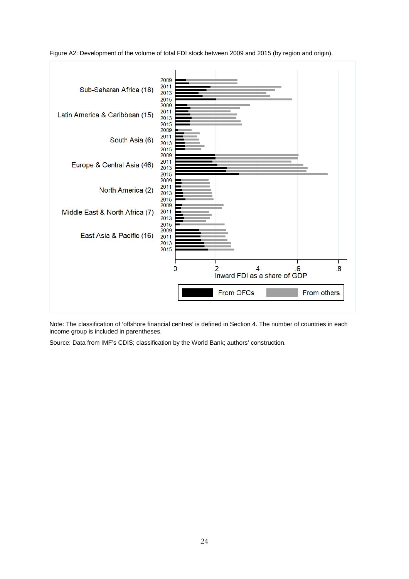

Figure A2: Development of the volume of total FDI stock between 2009 and 2015 (by region and origin).

Note: The classification of 'offshore financial centres' is defined in Section 4. The number of countries in each income group is included in parentheses.

Source: Data from IMF's CDIS; classification by the World Bank; authors' construction.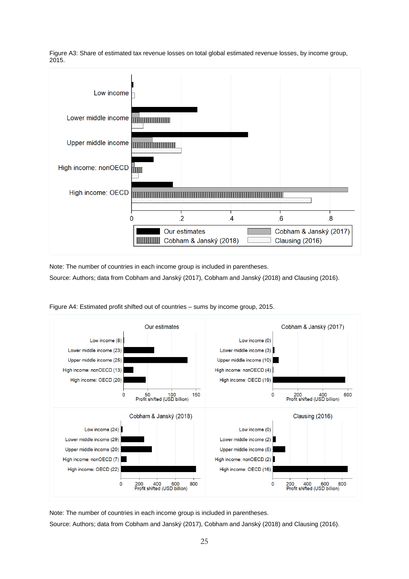

Figure A3: Share of estimated tax revenue losses on total global estimated revenue losses, by income group, 2015.

Note: The number of countries in each income group is included in parentheses. Source: Authors; data from Cobham and Janský (2017), Cobham and Janský (2018) and Clausing (2016).



Figure A4: Estimated profit shifted out of countries – sums by income group, 2015.

Note: The number of countries in each income group is included in parentheses.

Source: Authors; data from Cobham and Janský (2017), Cobham and Janský (2018) and Clausing (2016).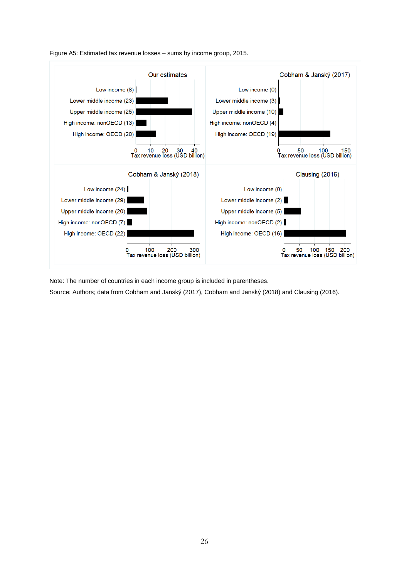



Note: The number of countries in each income group is included in parentheses.

Source: Authors; data from Cobham and Janský (2017), Cobham and Janský (2018) and Clausing (2016).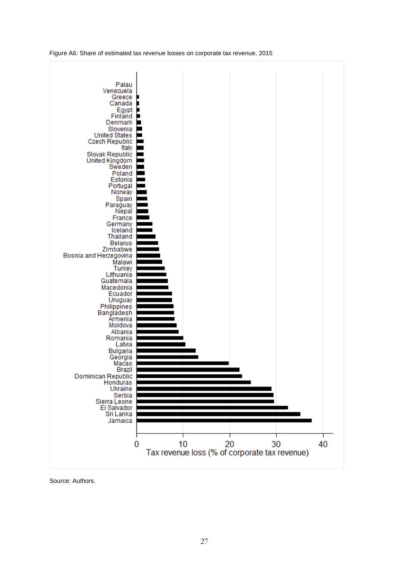Figure A6: Share of estimated tax revenue losses on corporate tax revenue, 2015



Source: Authors.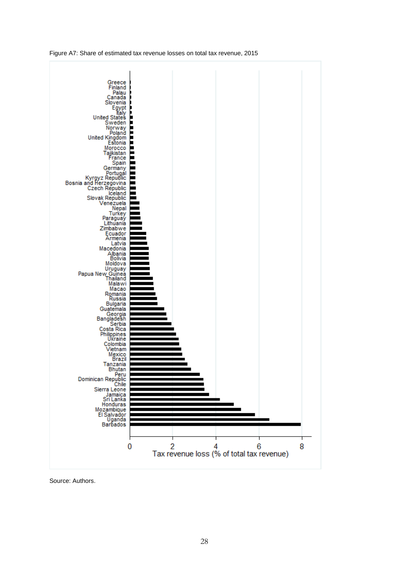



Source: Authors.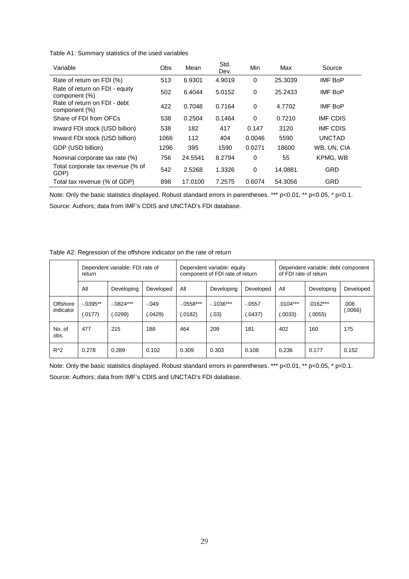Table A1: Summary statistics of the used variables

| Variable                                        | Obs  | Mean    | Std.<br>Dev. | Min      | Max     | Source          |
|-------------------------------------------------|------|---------|--------------|----------|---------|-----------------|
| Rate of return on FDI (%)                       | 513  | 6.9301  | 4.9019       | 0        | 25.3039 | <b>IMF BoP</b>  |
| Rate of return on FDI - equity<br>component (%) | 502  | 6.4044  | 5.0152       | 0        | 25.2433 | <b>IMF BoP</b>  |
| Rate of return on FDI - debt<br>component (%)   | 422  | 0.7048  | 0.7164       | 0        | 4.7702  | <b>IMF BoP</b>  |
| Share of FDI from OFCs                          | 538  | 0.2504  | 0.1464       | 0        | 0.7210  | <b>IMF CDIS</b> |
| Inward FDI stock (USD billion)                  | 538  | 182     | 417          | 0.147    | 3120    | <b>IMF CDIS</b> |
| Inward FDI stock (USD billion)                  | 1066 | 112     | 404          | 0.0046   | 5590    | <b>UNCTAD</b>   |
| GDP (USD billion)                               | 1296 | 395     | 1590         | 0.0271   | 18600   | WB, UN, CIA     |
| Nominal corporate tax rate (%)                  | 756  | 24.5541 | 8.2794       | 0        | 55      | KPMG, WB        |
| Total corporate tax revenue (% of<br>GDP)       | 542  | 2.5268  | 1.3326       | $\Omega$ | 14.0881 | GRD             |
| Total tax revenue (% of GDP)                    | 898  | 17.0100 | 7.2575       | 0.6074   | 54.3056 | GRD             |

Note: Only the basic statistics displayed. Robust standard errors in parentheses. \*\*\* p<0.01, \*\* p<0.05, \* p<0.1. Source: Authors; data from IMF's CDIS and UNCTAD's FDI database.

| Table A2: Regression of the offshore indicator on the rate of return |  |
|----------------------------------------------------------------------|--|
|                                                                      |  |

|                       | return                 | Dependent variable: FDI rate of |                 | Dependent variable: equity<br>component of FDI rate of return |                     |                     | Dependent variable: debt component<br>of FDI rate of return |                       |                 |
|-----------------------|------------------------|---------------------------------|-----------------|---------------------------------------------------------------|---------------------|---------------------|-------------------------------------------------------------|-----------------------|-----------------|
|                       | All                    | Developing                      | Developed       | All                                                           | Developing          | Developed           | All                                                         | Developing            | Developed       |
| Offshore<br>indicator | $-0.0395**$<br>(.0177) | $-.0824***$<br>0299             | $-.049$<br>0429 | $-0.0558***$<br>(.0182)                                       | $-1036***$<br>(.03) | $-.0557$<br>(.0437) | $.0104***$<br>(.0033)                                       | $.0162***$<br>(.0055) | .008<br>(0.066) |
| No. of<br>obs.        | 477                    | 215                             | 188             | 464                                                           | 209                 | 181                 | 402                                                         | 160                   | 175             |
| $R^2$                 | 0.278                  | 0.289                           | 0.102           | 0.309                                                         | 0.303               | 0.108               | 0.236                                                       | 0.177                 | 0.152           |

Note: Only the basic statistics displayed. Robust standard errors in parentheses. \*\*\* p<0.01, \*\* p<0.05, \* p<0.1. Source: Authors; data from IMF's CDIS and UNCTAD's FDI database.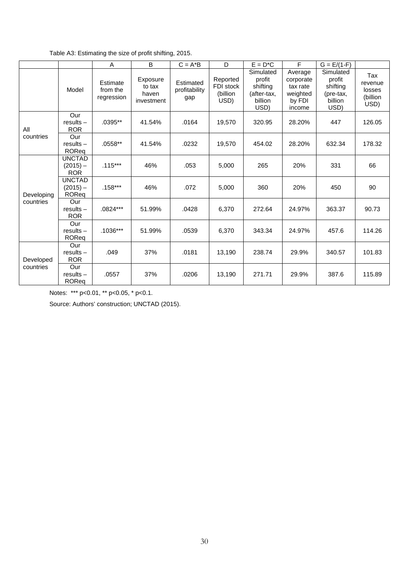| Table A3: Estimating the size of profit shifting, 2015. |  |  |
|---------------------------------------------------------|--|--|
|                                                         |  |  |

|            |                                           | A                                  | B                                         | $C = A^*B$                        | D                                         | $E = D^*C$                                                        | F                                                                | $G = E/(1-F)$                                                   |                                              |
|------------|-------------------------------------------|------------------------------------|-------------------------------------------|-----------------------------------|-------------------------------------------|-------------------------------------------------------------------|------------------------------------------------------------------|-----------------------------------------------------------------|----------------------------------------------|
|            | Model                                     | Estimate<br>from the<br>regression | Exposure<br>to tax<br>haven<br>investment | Estimated<br>profitability<br>gap | Reported<br>FDI stock<br>(billion<br>USD) | Simulated<br>profit<br>shifting<br>(after-tax,<br>billion<br>USD) | Average<br>corporate<br>tax rate<br>weighted<br>by FDI<br>income | Simulated<br>profit<br>shifting<br>(pre-tax,<br>billion<br>USD) | Tax<br>revenue<br>losses<br>(billion<br>USD) |
| All        | Our<br>$results -$<br><b>ROR</b>          | .0395**                            | 41.54%                                    | .0164                             | 19,570                                    | 320.95                                                            | 28.20%                                                           | 447                                                             | 126.05                                       |
| countries  | Our<br>$results -$<br>ROReg               | $.0558**$                          | 41.54%                                    | .0232                             | 19,570                                    | 454.02                                                            | 28.20%                                                           | 632.34                                                          | 178.32                                       |
|            | <b>UNCTAD</b><br>$(2015) -$<br><b>ROR</b> | $.115***$                          | 46%                                       | .053                              | 5,000                                     | 265                                                               | 20%                                                              | 331                                                             | 66                                           |
| Developing | <b>UNCTAD</b><br>$(2015) -$<br>ROReg      | $.158***$                          | 46%                                       | .072                              | 5,000                                     | 360                                                               | 20%                                                              | 450                                                             | 90                                           |
| countries  | Our<br>$results -$<br><b>ROR</b>          | .0824***                           | 51.99%                                    | .0428                             | 6,370                                     | 272.64                                                            | 24.97%                                                           | 363.37                                                          | 90.73                                        |
|            | Our<br>$results -$<br>ROReq               | $.1036***$                         | 51.99%                                    | .0539                             | 6,370                                     | 343.34                                                            | 24.97%                                                           | 457.6                                                           | 114.26                                       |
| Developed  | Our<br>$results -$<br><b>ROR</b>          | .049                               | 37%                                       | .0181                             | 13,190                                    | 238.74                                                            | 29.9%                                                            | 340.57                                                          | 101.83                                       |
| countries  | Our<br>$results -$<br>ROReq               | .0557                              | 37%                                       | .0206                             | 13,190                                    | 271.71                                                            | 29.9%                                                            | 387.6                                                           | 115.89                                       |

Notes: \*\*\* p<0.01, \*\* p<0.05, \* p<0.1.

Source: Authors' construction; UNCTAD (2015).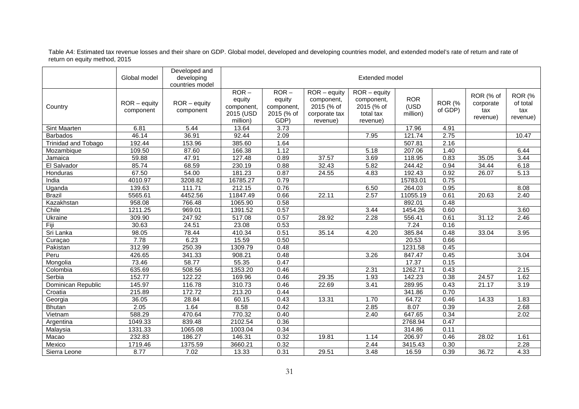Table A4: Estimated tax revenue losses and their share on GDP. Global model, developed and developing countries model, and extended model's rate of return and rate of return on equity method, 2015

|                            | Global model                | Developed and<br>developing<br>countries model | Extended model                                           |                                                       |                                                                         |                                                                                 |                                |                   |                                           |                                              |
|----------------------------|-----------------------------|------------------------------------------------|----------------------------------------------------------|-------------------------------------------------------|-------------------------------------------------------------------------|---------------------------------------------------------------------------------|--------------------------------|-------------------|-------------------------------------------|----------------------------------------------|
| Country                    | $ROR - equity$<br>component | $ROR - equity$<br>component                    | $ROR -$<br>equity<br>component,<br>2015 (USD<br>million) | $ROR -$<br>equity<br>component,<br>2015 (% of<br>GDP) | $ROR - equity$<br>component,<br>2015 (% of<br>corporate tax<br>revenue) | $\overline{R}$ OR – equity<br>component,<br>2015 (% of<br>total tax<br>revenue) | <b>ROR</b><br>(USD<br>million) | ROR (%<br>of GDP) | ROR (% of<br>corporate<br>tax<br>revenue) | <b>ROR (%</b><br>of total<br>tax<br>revenue) |
| Sint Maarten               | 6.81                        | 5.44                                           | 13.64                                                    | 3.73                                                  |                                                                         |                                                                                 | 17.96                          | 4.91              |                                           |                                              |
| <b>Barbados</b>            | 46.14                       | 36.91                                          | 92.44                                                    | 2.09                                                  |                                                                         | 7.95                                                                            | 121.74                         | 2.75              |                                           | 10.47                                        |
| <b>Trinidad and Tobago</b> | 192.44                      | 153.96                                         | 385.60                                                   | 1.64                                                  |                                                                         |                                                                                 | 507.81                         | 2.16              |                                           |                                              |
| Mozambique                 | 109.50                      | 87.60                                          | 166.38                                                   | 1.12                                                  |                                                                         | 5.18                                                                            | 207.06                         | 1.40              |                                           | 6.44                                         |
| Jamaica                    | 59.88                       | 47.91                                          | 127.48                                                   | 0.89                                                  | 37.57                                                                   | 3.69                                                                            | 118.95                         | 0.83              | 35.05                                     | 3.44                                         |
| El Salvador                | 85.74                       | 68.59                                          | 230.19                                                   | 0.88                                                  | 32.43                                                                   | 5.82                                                                            | 244.42                         | 0.94              | 34.44                                     | 6.18                                         |
| Honduras                   | 67.50                       | 54.00                                          | 181.23                                                   | 0.87                                                  | 24.55                                                                   | 4.83                                                                            | 192.43                         | 0.92              | 26.07                                     | 5.13                                         |
| India                      | 4010.97                     | 3208.82                                        | 16785.27                                                 | 0.79                                                  |                                                                         |                                                                                 | 15783.01                       | 0.75              |                                           |                                              |
| Uganda                     | 139.63                      | 111.71                                         | 212.15                                                   | 0.76                                                  |                                                                         | 6.50                                                                            | 264.03                         | 0.95              |                                           | 8.08                                         |
| <b>Brazil</b>              | 5565.61                     | 4452.56                                        | 11847.49                                                 | 0.66                                                  | 22.11                                                                   | 2.57                                                                            | 11055.19                       | 0.61              | 20.63                                     | 2.40                                         |
| Kazakhstan                 | 958.08                      | 766.48                                         | 1065.90                                                  | 0.58                                                  |                                                                         |                                                                                 | 892.01                         | 0.48              |                                           |                                              |
| Chile                      | 1211.25                     | 969.01                                         | 1391.52                                                  | 0.57                                                  |                                                                         | 3.44                                                                            | 1454.26                        | 0.60              |                                           | 3.60                                         |
| Ukraine                    | 309.90                      | 247.92                                         | 517.08                                                   | 0.57                                                  | 28.92                                                                   | 2.28                                                                            | 556.41                         | 0.61              | 31.12                                     | 2.46                                         |
| Fiji                       | 30.63                       | 24.51                                          | 23.08                                                    | 0.53                                                  |                                                                         |                                                                                 | 7.24                           | 0.16              |                                           |                                              |
| Sri Lanka                  | 98.05                       | 78.44                                          | 410.34                                                   | 0.51                                                  | 35.14                                                                   | 4.20                                                                            | 385.84                         | 0.48              | 33.04                                     | 3.95                                         |
| Curaçao                    | 7.78                        | 6.23                                           | 15.59                                                    | 0.50                                                  |                                                                         |                                                                                 | 20.53                          | 0.66              |                                           |                                              |
| Pakistan                   | 312.99                      | 250.39                                         | 1309.79                                                  | 0.48                                                  |                                                                         |                                                                                 | 1231.58                        | 0.45              |                                           |                                              |
| Peru                       | 426.65                      | 341.33                                         | 908.21                                                   | 0.48                                                  |                                                                         | 3.26                                                                            | 847.47                         | 0.45              |                                           | 3.04                                         |
| Mongolia                   | 73.46                       | 58.77                                          | 55.35                                                    | 0.47                                                  |                                                                         |                                                                                 | 17.37                          | 0.15              |                                           |                                              |
| Colombia                   | 635.69                      | 508.56                                         | 1353.20                                                  | 0.46                                                  |                                                                         | 2.31                                                                            | 1262.71                        | 0.43              |                                           | 2.15                                         |
| Serbia                     | 152.77                      | 122.22                                         | 169.96                                                   | 0.46                                                  | 29.35                                                                   | 1.93                                                                            | 142.23                         | 0.38              | 24.57                                     | 1.62                                         |
| Dominican Republic         | 145.97                      | 116.78                                         | 310.73                                                   | 0.46                                                  | 22.69                                                                   | 3.41                                                                            | 289.95                         | 0.43              | 21.17                                     | 3.19                                         |
| Croatia                    | 215.89                      | 172.72                                         | 213.20                                                   | 0.44                                                  |                                                                         |                                                                                 | 341.86                         | 0.70              |                                           |                                              |
| Georgia                    | 36.05                       | 28.84                                          | 60.15                                                    | 0.43                                                  | 13.31                                                                   | 1.70                                                                            | 64.72                          | 0.46              | 14.33                                     | 1.83                                         |
| <b>Bhutan</b>              | 2.05                        | 1.64                                           | 8.58                                                     | 0.42                                                  |                                                                         | 2.85                                                                            | 8.07                           | 0.39              |                                           | 2.68                                         |
| Vietnam                    | 588.29                      | 470.64                                         | 770.32                                                   | 0.40                                                  |                                                                         | 2.40                                                                            | 647.65                         | 0.34              |                                           | 2.02                                         |
| Argentina                  | 1049.33                     | 839.48                                         | 2102.54                                                  | 0.36                                                  |                                                                         |                                                                                 | 2768.94                        | 0.47              |                                           |                                              |
| Malaysia                   | 1331.33                     | 1065.08                                        | 1003.04                                                  | 0.34                                                  |                                                                         |                                                                                 | 314.86                         | 0.11              |                                           |                                              |
| Macao                      | 232.83                      | 186.27                                         | 146.31                                                   | 0.32                                                  | 19.81                                                                   | 1.14                                                                            | 206.97                         | 0.46              | 28.02                                     | 1.61                                         |
| Mexico                     | 1719.46                     | 1375.59                                        | 3660.21                                                  | 0.32                                                  |                                                                         | 2.44                                                                            | 3415.43                        | 0.30              |                                           | 2.28                                         |
| Sierra Leone               | 8.77                        | 7.02                                           | 13.33                                                    | 0.31                                                  | 29.51                                                                   | 3.48                                                                            | 16.59                          | 0.39              | 36.72                                     | 4.33                                         |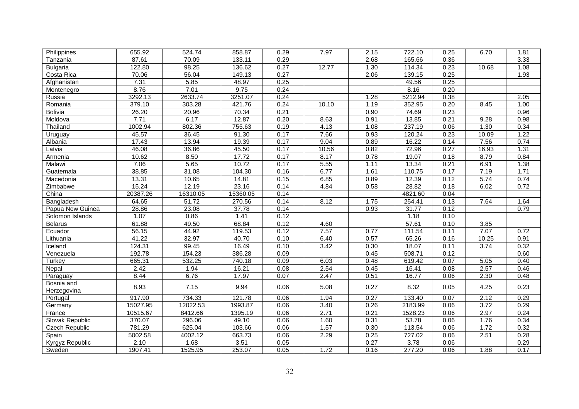| Philippines           | 655.92   | 524.74   | 858.87   | 0.29 | 7.97  | 2.15 | 722.10  | 0.25 | 6.70  | 1.81 |
|-----------------------|----------|----------|----------|------|-------|------|---------|------|-------|------|
| Tanzania              | 87.61    | 70.09    | 133.11   | 0.29 |       | 2.68 | 165.66  | 0.36 |       | 3.33 |
| <b>Bulgaria</b>       | 122.80   | 98.25    | 136.62   | 0.27 | 12.77 | 1.30 | 114.34  | 0.23 | 10.68 | 1.08 |
| Costa Rica            | 70.06    | 56.04    | 149.13   | 0.27 |       | 2.06 | 139.15  | 0.25 |       | 1.93 |
| Afghanistan           | 7.31     | 5.85     | 48.97    | 0.25 |       |      | 49.56   | 0.25 |       |      |
| Montenegro            | 8.76     | 7.01     | 9.75     | 0.24 |       |      | 8.16    | 0.20 |       |      |
| Russia                | 3292.13  | 2633.74  | 3251.07  | 0.24 |       | 1.28 | 5212.94 | 0.38 |       | 2.05 |
| Romania               | 379.10   | 303.28   | 421.76   | 0.24 | 10.10 | 1.19 | 352.95  | 0.20 | 8.45  | 1.00 |
| Bolivia               | 26.20    | 20.96    | 70.34    | 0.21 |       | 0.90 | 74.69   | 0.23 |       | 0.96 |
| Moldova               | 7.71     | 6.17     | 12.87    | 0.20 | 8.63  | 0.91 | 13.85   | 0.21 | 9.28  | 0.98 |
| Thailand              | 1002.94  | 802.36   | 755.63   | 0.19 | 4.13  | 1.08 | 237.19  | 0.06 | 1.30  | 0.34 |
| Uruguay               | 45.57    | 36.45    | 91.30    | 0.17 | 7.66  | 0.93 | 120.24  | 0.23 | 10.09 | 1.22 |
| Albania               | 17.43    | 13.94    | 19.39    | 0.17 | 9.04  | 0.89 | 16.22   | 0.14 | 7.56  | 0.74 |
| Latvia                | 46.08    | 36.86    | 45.50    | 0.17 | 10.56 | 0.82 | 72.96   | 0.27 | 16.93 | 1.31 |
| Armenia               | 10.62    | 8.50     | 17.72    | 0.17 | 8.17  | 0.78 | 19.07   | 0.18 | 8.79  | 0.84 |
| Malawi                | 7.06     | 5.65     | 10.72    | 0.17 | 5.55  | 1.11 | 13.34   | 0.21 | 6.91  | 1.38 |
| Guatemala             | 38.85    | 31.08    | 104.30   | 0.16 | 6.77  | 1.61 | 110.75  | 0.17 | 7.19  | 1.71 |
| Macedonia             | 13.31    | 10.65    | 14.81    | 0.15 | 6.85  | 0.89 | 12.39   | 0.12 | 5.74  | 0.74 |
| Zimbabwe              | 15.24    | 12.19    | 23.16    | 0.14 | 4.84  | 0.58 | 28.82   | 0.18 | 6.02  | 0.72 |
| China                 | 20387.26 | 16310.05 | 15360.05 | 0.14 |       |      | 4821.60 | 0.04 |       |      |
| Bangladesh            | 64.65    | 51.72    | 270.56   | 0.14 | 8.12  | 1.75 | 254.41  | 0.13 | 7.64  | 1.64 |
| Papua New Guinea      | 28.86    | 23.08    | 37.78    | 0.14 |       | 0.93 | 31.77   | 0.12 |       | 0.79 |
| Solomon Islands       | 1.07     | 0.86     | 1.41     | 0.12 |       |      | 1.18    | 0.10 |       |      |
| <b>Belarus</b>        | 61.88    | 49.50    | 68.84    | 0.12 | 4.60  |      | 57.61   | 0.10 | 3.85  |      |
| Ecuador               | 56.15    | 44.92    | 119.53   | 0.12 | 7.57  | 0.77 | 111.54  | 0.11 | 7.07  | 0.72 |
| Lithuania             | 41.22    | 32.97    | 40.70    | 0.10 | 6.40  | 0.57 | 65.26   | 0.16 | 10.25 | 0.91 |
| Iceland               | 124.31   | 99.45    | 16.49    | 0.10 | 3.42  | 0.30 | 18.07   | 0.11 | 3.74  | 0.32 |
| Venezuela             | 192.78   | 154.23   | 386.28   | 0.09 |       | 0.45 | 508.71  | 0.12 |       | 0.60 |
| Turkey                | 665.31   | 532.25   | 740.18   | 0.09 | 6.03  | 0.48 | 619.42  | 0.07 | 5.05  | 0.40 |
| Nepal                 | 2.42     | 1.94     | 16.21    | 0.08 | 2.54  | 0.45 | 16.41   | 0.08 | 2.57  | 0.46 |
| Paraguay              | 8.44     | 6.76     | 17.97    | 0.07 | 2.47  | 0.51 | 16.77   | 0.06 | 2.30  | 0.48 |
| Bosnia and            | 8.93     | 7.15     | 9.94     | 0.06 | 5.08  | 0.27 | 8.32    | 0.05 | 4.25  | 0.23 |
| Herzegovina           |          |          |          |      |       |      |         |      |       |      |
| Portugal              | 917.90   | 734.33   | 121.78   | 0.06 | 1.94  | 0.27 | 133.40  | 0.07 | 2.12  | 0.29 |
| Germany               | 15027.95 | 12022.53 | 1993.87  | 0.06 | 3.40  | 0.26 | 2183.99 | 0.06 | 3.72  | 0.29 |
| France                | 10515.67 | 8412.66  | 1395.19  | 0.06 | 2.71  | 0.21 | 1528.23 | 0.06 | 2.97  | 0.24 |
| Slovak Republic       | 370.07   | 296.06   | 49.10    | 0.06 | 1.60  | 0.31 | 53.78   | 0.06 | 1.76  | 0.34 |
| <b>Czech Republic</b> | 781.29   | 625.04   | 103.66   | 0.06 | 1.57  | 0.30 | 113.54  | 0.06 | 1.72  | 0.32 |
| Spain                 | 5002.58  | 4002.12  | 663.73   | 0.06 | 2.29  | 0.25 | 727.02  | 0.06 | 2.51  | 0.28 |
| Kyrgyz Republic       | 2.10     | 1.68     | 3.51     | 0.05 |       | 0.27 | 3.78    | 0.06 |       | 0.29 |
| Sweden                | 1907.41  | 1525.95  | 253.07   | 0.05 | 1.72  | 0.16 | 277.20  | 0.06 | 1.88  | 0.17 |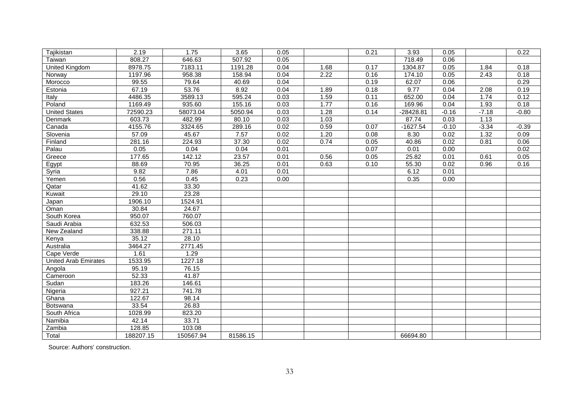| Tajikistan                  | 2.19      | 1.75      | 3.65     | 0.05 |      | 0.21 | 3.93       | 0.05    |         | 0.22    |
|-----------------------------|-----------|-----------|----------|------|------|------|------------|---------|---------|---------|
| Taiwan                      | 808.27    | 646.63    | 507.92   | 0.05 |      |      | 718.49     | 0.06    |         |         |
| <b>United Kingdom</b>       | 8978.75   | 7183.11   | 1191.28  | 0.04 | 1.68 | 0.17 | 1304.87    | 0.05    | 1.84    | 0.18    |
| Norway                      | 1197.96   | 958.38    | 158.94   | 0.04 | 2.22 | 0.16 | 174.10     | 0.05    | 2.43    | 0.18    |
| Morocco                     | 99.55     | 79.64     | 40.69    | 0.04 |      | 0.19 | 62.07      | 0.06    |         | 0.29    |
| Estonia                     | 67.19     | 53.76     | 8.92     | 0.04 | 1.89 | 0.18 | 9.77       | 0.04    | 2.08    | 0.19    |
| Italy                       | 4486.35   | 3589.13   | 595.24   | 0.03 | 1.59 | 0.11 | 652.00     | 0.04    | 1.74    | 0.12    |
| Poland                      | 1169.49   | 935.60    | 155.16   | 0.03 | 1.77 | 0.16 | 169.96     | 0.04    | 1.93    | 0.18    |
| <b>United States</b>        | 72590.23  | 58073.04  | 5050.94  | 0.03 | 1.28 | 0.14 | -28428.81  | $-0.16$ | $-7.18$ | $-0.80$ |
| Denmark                     | 603.73    | 482.99    | 80.10    | 0.03 | 1.03 |      | 87.74      | 0.03    | 1.13    |         |
| Canada                      | 4155.76   | 3324.65   | 289.16   | 0.02 | 0.59 | 0.07 | $-1627.54$ | $-0.10$ | $-3.34$ | $-0.39$ |
| Slovenia                    | 57.09     | 45.67     | 7.57     | 0.02 | 1.20 | 0.08 | 8.30       | 0.02    | 1.32    | 0.09    |
| Finland                     | 281.16    | 224.93    | 37.30    | 0.02 | 0.74 | 0.05 | 40.86      | 0.02    | 0.81    | 0.06    |
| Palau                       | 0.05      | 0.04      | 0.04     | 0.01 |      | 0.07 | 0.01       | 0.00    |         | 0.02    |
| Greece                      | 177.65    | 142.12    | 23.57    | 0.01 | 0.56 | 0.05 | 25.82      | 0.01    | 0.61    | 0.05    |
| Egypt                       | 88.69     | 70.95     | 36.25    | 0.01 | 0.63 | 0.10 | 55.30      | 0.02    | 0.96    | 0.16    |
| Syria                       | 9.82      | 7.86      | 4.01     | 0.01 |      |      | 6.12       | 0.01    |         |         |
| Yemen                       | 0.56      | 0.45      | 0.23     | 0.00 |      |      | 0.35       | 0.00    |         |         |
| Qatar                       | 41.62     | 33.30     |          |      |      |      |            |         |         |         |
| Kuwait                      | 29.10     | 23.28     |          |      |      |      |            |         |         |         |
| Japan                       | 1906.10   | 1524.91   |          |      |      |      |            |         |         |         |
| Oman                        | 30.84     | 24.67     |          |      |      |      |            |         |         |         |
| South Korea                 | 950.07    | 760.07    |          |      |      |      |            |         |         |         |
| Saudi Arabia                | 632.53    | 506.03    |          |      |      |      |            |         |         |         |
| New Zealand                 | 338.88    | 271.11    |          |      |      |      |            |         |         |         |
| Kenya                       | 35.12     | 28.10     |          |      |      |      |            |         |         |         |
| Australia                   | 3464.27   | 2771.45   |          |      |      |      |            |         |         |         |
| Cape Verde                  | 1.61      | 1.29      |          |      |      |      |            |         |         |         |
| <b>United Arab Emirates</b> | 1533.95   | 1227.18   |          |      |      |      |            |         |         |         |
| Angola                      | 95.19     | 76.15     |          |      |      |      |            |         |         |         |
| Cameroon                    | 52.33     | 41.87     |          |      |      |      |            |         |         |         |
| Sudan                       | 183.26    | 146.61    |          |      |      |      |            |         |         |         |
| Nigeria                     | 927.21    | 741.78    |          |      |      |      |            |         |         |         |
| Ghana                       | 122.67    | 98.14     |          |      |      |      |            |         |         |         |
| Botswana                    | 33.54     | 26.83     |          |      |      |      |            |         |         |         |
| South Africa                | 1028.99   | 823.20    |          |      |      |      |            |         |         |         |
| Namibia                     | 42.14     | 33.71     |          |      |      |      |            |         |         |         |
| Zambia                      | 128.85    | 103.08    |          |      |      |      |            |         |         |         |
| Total                       | 188207.15 | 150567.94 | 81586.15 |      |      |      | 66694.80   |         |         |         |

Source: Authors' construction.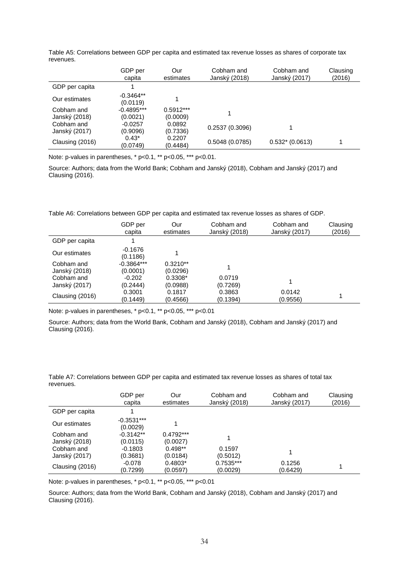|                             | GDP per<br>capita        | Our<br>estimates        | Cobham and<br>Janský (2018) | Cobham and<br>Janský (2017) | Clausing<br>(2016) |
|-----------------------------|--------------------------|-------------------------|-----------------------------|-----------------------------|--------------------|
| GDP per capita              |                          |                         |                             |                             |                    |
| Our estimates               | $-0.3464**$<br>(0.0119)  |                         |                             |                             |                    |
| Cobham and<br>Janský (2018) | $-0.4895***$<br>(0.0021) | $0.5912***$<br>(0.0009) |                             |                             |                    |
| Cobham and<br>Janský (2017) | $-0.0257$<br>(0.9096)    | 0.0892<br>(0.7336)      | 0.2537(0.3096)              |                             |                    |
| Clausing (2016)             | $0.43*$<br>(0.0749)      | 0.2207<br>(0.4484)      | 0.5048(0.0785)              | $0.532*(0.0613)$            |                    |

Table A5: Correlations between GDP per capita and estimated tax revenue losses as shares of corporate tax revenues.

Note: p-values in parentheses, \* p<0.1, \*\* p<0.05, \*\*\* p<0.01.

Source: Authors; data from the World Bank; Cobham and Janský (2018), Cobham and Janský (2017) and Clausing (2016).

Table A6: Correlations between GDP per capita and estimated tax revenue losses as shares of GDP.

|                             | GDP per<br>capita        | Our<br>estimates       | Cobham and<br>Janský (2018) | Cobham and<br>Janský (2017) | Clausing<br>(2016) |
|-----------------------------|--------------------------|------------------------|-----------------------------|-----------------------------|--------------------|
| GDP per capita              |                          |                        |                             |                             |                    |
| Our estimates               | $-0.1676$<br>(0.1186)    |                        |                             |                             |                    |
| Cobham and<br>Janský (2018) | $-0.3864***$<br>(0.0001) | $0.3210**$<br>(0.0296) |                             |                             |                    |
| Cobham and<br>Janský (2017) | $-0.202$<br>(0.2444)     | 0.3308*<br>(0.0988)    | 0.0719<br>(0.7269)          |                             |                    |
| Clausing (2016)             | 0.3001<br>(0.1449)       | 0.1817<br>(0.4566)     | 0.3863<br>(0.1394)          | 0.0142<br>(0.9556)          |                    |

Note: p-values in parentheses, \* p<0.1, \*\* p<0.05, \*\*\* p<0.01

Source: Authors; data from the World Bank, Cobham and Janský (2018), Cobham and Janský (2017) and Clausing (2016).

Table A7: Correlations between GDP per capita and estimated tax revenue losses as shares of total tax revenues.

| Janský (2018)<br>Janský (2017)<br>estimates<br>capita           | (2016) |
|-----------------------------------------------------------------|--------|
| GDP per capita                                                  |        |
| $-0.3531***$<br>Our estimates<br>(0.0029)                       |        |
| $0.4792***$<br>$-0.3142**$<br>Cobham and                        |        |
| Janský (2018)<br>(0.0115)<br>(0.0027)                           |        |
| $0.498**$<br>0.1597<br>Cobham and<br>$-0.1803$                  |        |
| (0.0184)<br>(0.3681)<br>(0.5012)<br>Janský (2017)               |        |
| $0.7535***$<br>$0.4803*$<br>0.1256<br>$-0.078$                  | 1      |
| Clausing (2016)<br>(0.7299)<br>(0.6429)<br>(0.0597)<br>(0.0029) |        |

Note: p-values in parentheses, \* p<0.1, \*\* p<0.05, \*\*\* p<0.01

Source: Authors; data from the World Bank, Cobham and Janský (2018), Cobham and Janský (2017) and Clausing (2016).